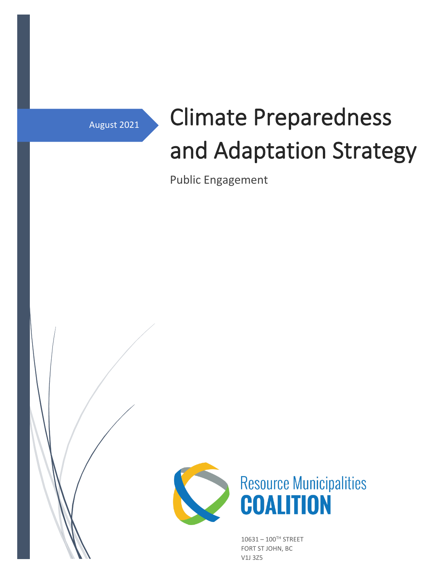# August 2021 Climate Preparedness and Adaptation Strategy

Public Engagement



 $10631 - 100^{\text{TH}}$  STREET FORT ST JOHN, BC V1J 3Z5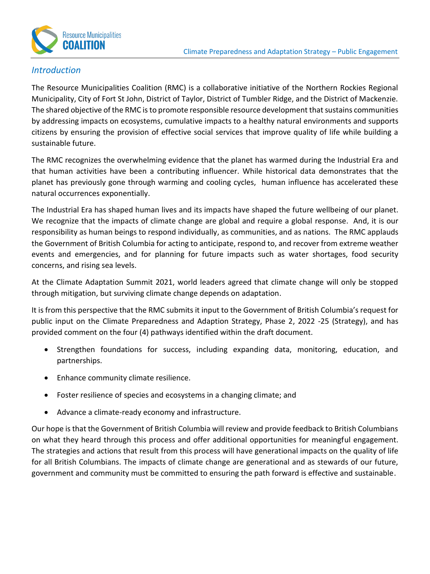

## *Introduction*

The Resource Municipalities Coalition (RMC) is a collaborative initiative of the Northern Rockies Regional Municipality, City of Fort St John, District of Taylor, District of Tumbler Ridge, and the District of Mackenzie. The shared objective of the RMC is to promote responsible resource development that sustains communities by addressing impacts on ecosystems, cumulative impacts to a healthy natural environments and supports citizens by ensuring the provision of effective social services that improve quality of life while building a sustainable future.

The RMC recognizes the overwhelming evidence that the planet has warmed during the Industrial Era and that human activities have been a contributing influencer. While historical data demonstrates that the planet has previously gone through warming and cooling cycles, human influence has accelerated these natural occurrences exponentially.

The Industrial Era has shaped human lives and its impacts have shaped the future wellbeing of our planet. We recognize that the impacts of climate change are global and require a global response. And, it is our responsibility as human beings to respond individually, as communities, and as nations. The RMC applauds the Government of British Columbia for acting to anticipate, respond to, and recover from extreme weather events and emergencies, and for planning for future impacts such as water shortages, food security concerns, and rising sea levels.

At the Climate Adaptation Summit 2021, world leaders agreed that climate change will only be stopped through mitigation, but surviving climate change depends on adaptation.

It is from this perspective that the RMC submits it input to the Government of British Columbia's request for public input on the Climate Preparedness and Adaption Strategy, Phase 2, 2022 -25 (Strategy), and has provided comment on the four (4) pathways identified within the draft document.

- Strengthen foundations for success, including expanding data, monitoring, education, and partnerships.
- Enhance community climate resilience.
- Foster resilience of species and ecosystems in a changing climate; and
- Advance a climate-ready economy and infrastructure.

Our hope is that the Government of British Columbia will review and provide feedback to British Columbians on what they heard through this process and offer additional opportunities for meaningful engagement. The strategies and actions that result from this process will have generational impacts on the quality of life for all British Columbians. The impacts of climate change are generational and as stewards of our future, government and community must be committed to ensuring the path forward is effective and sustainable.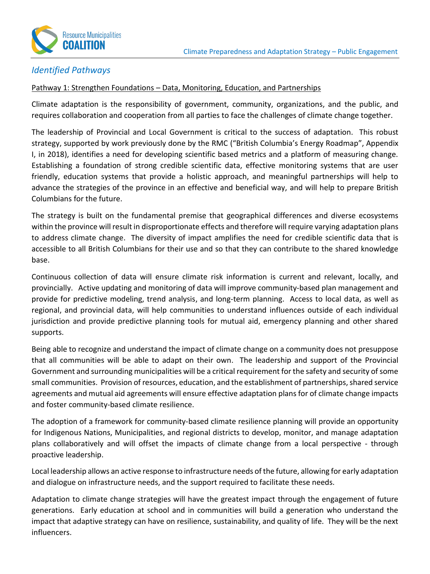

## *Identified Pathways*

#### Pathway 1: Strengthen Foundations - Data, Monitoring, Education, and Partnerships

Climate adaptation is the responsibility of government, community, organizations, and the public, and requires collaboration and cooperation from all parties to face the challenges of climate change together.

The leadership of Provincial and Local Government is critical to the success of adaptation. This robust strategy, supported by work previously done by the RMC ("British Columbia's Energy Roadmap", Appendix I, in 2018), identifies a need for developing scientific based metrics and a platform of measuring change. Establishing a foundation of strong credible scientific data, effective monitoring systems that are user friendly, education systems that provide a holistic approach, and meaningful partnerships will help to advance the strategies of the province in an effective and beneficial way, and will help to prepare British Columbians for the future.

The strategy is built on the fundamental premise that geographical differences and diverse ecosystems within the province will result in disproportionate effects and therefore will require varying adaptation plans to address climate change. The diversity of impact amplifies the need for credible scientific data that is accessible to all British Columbians for their use and so that they can contribute to the shared knowledge base.

Continuous collection of data will ensure climate risk information is current and relevant, locally, and provincially. Active updating and monitoring of data will improve community-based plan management and provide for predictive modeling, trend analysis, and long-term planning. Access to local data, as well as regional, and provincial data, will help communities to understand influences outside of each individual jurisdiction and provide predictive planning tools for mutual aid, emergency planning and other shared supports.

Being able to recognize and understand the impact of climate change on a community does not presuppose that all communities will be able to adapt on their own. The leadership and support of the Provincial Government and surrounding municipalities will be a critical requirement for the safety and security of some small communities. Provision of resources, education, and the establishment of partnerships, shared service agreements and mutual aid agreements will ensure effective adaptation plans for of climate change impacts and foster community-based climate resilience.

The adoption of a framework for community-based climate resilience planning will provide an opportunity for Indigenous Nations, Municipalities, and regional districts to develop, monitor, and manage adaptation plans collaboratively and will offset the impacts of climate change from a local perspective - through proactive leadership.

Local leadership allows an active response to infrastructure needs of the future, allowing for early adaptation and dialogue on infrastructure needs, and the support required to facilitate these needs.

Adaptation to climate change strategies will have the greatest impact through the engagement of future generations. Early education at school and in communities will build a generation who understand the impact that adaptive strategy can have on resilience, sustainability, and quality of life. They will be the next influencers.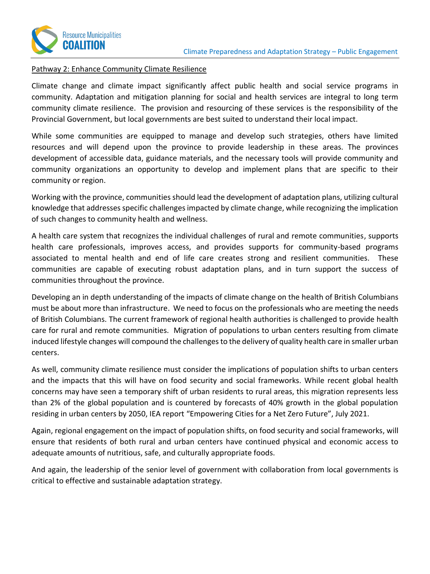

#### Pathway 2: Enhance Community Climate Resilience

Climate change and climate impact significantly affect public health and social service programs in community. Adaptation and mitigation planning for social and health services are integral to long term community climate resilience. The provision and resourcing of these services is the responsibility of the Provincial Government, but local governments are best suited to understand their local impact.

While some communities are equipped to manage and develop such strategies, others have limited resources and will depend upon the province to provide leadership in these areas. The provinces development of accessible data, guidance materials, and the necessary tools will provide community and community organizations an opportunity to develop and implement plans that are specific to their community or region.

Working with the province, communities should lead the development of adaptation plans, utilizing cultural knowledge that addresses specific challenges impacted by climate change, while recognizing the implication of such changes to community health and wellness.

A health care system that recognizes the individual challenges of rural and remote communities, supports health care professionals, improves access, and provides supports for community-based programs associated to mental health and end of life care creates strong and resilient communities. These communities are capable of executing robust adaptation plans, and in turn support the success of communities throughout the province.

Developing an in depth understanding of the impacts of climate change on the health of British Columbians must be about more than infrastructure. We need to focus on the professionals who are meeting the needs of British Columbians. The current framework of regional health authorities is challenged to provide health care for rural and remote communities. Migration of populations to urban centers resulting from climate induced lifestyle changes will compound the challengesto the delivery of quality health care in smaller urban centers.

As well, community climate resilience must consider the implications of population shifts to urban centers and the impacts that this will have on food security and social frameworks. While recent global health concerns may have seen a temporary shift of urban residents to rural areas, this migration represents less than 2% of the global population and is countered by forecasts of 40% growth in the global population residing in urban centers by 2050, IEA report "Empowering Cities for a Net Zero Future", July 2021.

Again, regional engagement on the impact of population shifts, on food security and social frameworks, will ensure that residents of both rural and urban centers have continued physical and economic access to adequate amounts of nutritious, safe, and culturally appropriate foods.

And again, the leadership of the senior level of government with collaboration from local governments is critical to effective and sustainable adaptation strategy.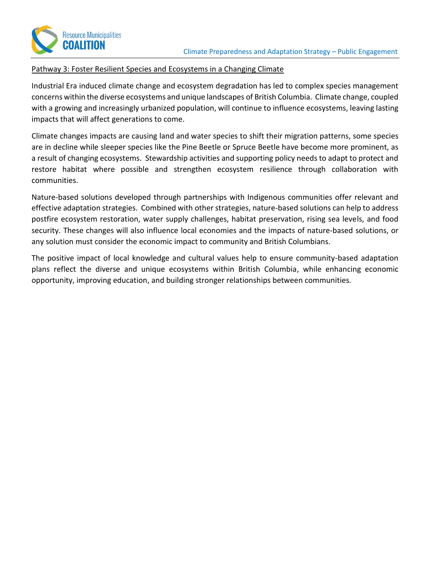

#### Pathway 3: Foster Resilient Species and Ecosystems in a Changing Climate

Industrial Era induced climate change and ecosystem degradation has led to complex species management concerns within the diverse ecosystems and unique landscapes of British Columbia. Climate change, coupled with a growing and increasingly urbanized population, will continue to influence ecosystems, leaving lasting impacts that will affect generations to come.

Climate changes impacts are causing land and water species to shift their migration patterns, some species are in decline while sleeper species like the Pine Beetle or Spruce Beetle have become more prominent, as a result of changing ecosystems. Stewardship activities and supporting policy needs to adapt to protect and restore habitat where possible and strengthen ecosystem resilience through collaboration with communities.

Nature-based solutions developed through partnerships with Indigenous communities offer relevant and effective adaptation strategies. Combined with other strategies, nature-based solutions can help to address postfire ecosystem restoration, water supply challenges, habitat preservation, rising sea levels, and food security. These changes will also influence local economies and the impacts of nature-based solutions, or any solution must consider the economic impact to community and British Columbians.

The positive impact of local knowledge and cultural values help to ensure community-based adaptation plans reflect the diverse and unique ecosystems within British Columbia, while enhancing economic opportunity, improving education, and building stronger relationships between communities.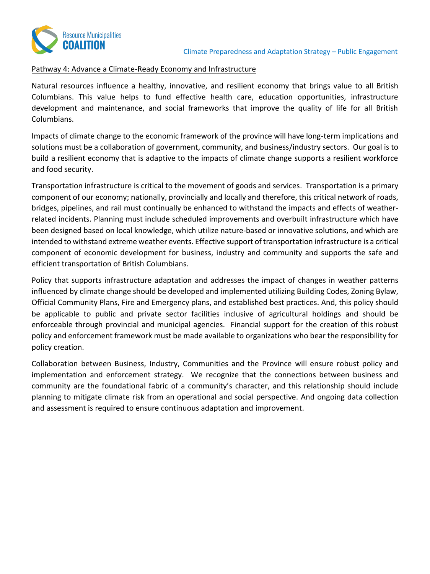

#### Pathway 4: Advance a Climate-Ready Economy and Infrastructure

Natural resources influence a healthy, innovative, and resilient economy that brings value to all British Columbians. This value helps to fund effective health care, education opportunities, infrastructure development and maintenance, and social frameworks that improve the quality of life for all British Columbians.

Impacts of climate change to the economic framework of the province will have long-term implications and solutions must be a collaboration of government, community, and business/industry sectors. Our goal is to build a resilient economy that is adaptive to the impacts of climate change supports a resilient workforce and food security.

Transportation infrastructure is critical to the movement of goods and services. Transportation is a primary component of our economy; nationally, provincially and locally and therefore, this critical network of roads, bridges, pipelines, and rail must continually be enhanced to withstand the impacts and effects of weatherrelated incidents. Planning must include scheduled improvements and overbuilt infrastructure which have been designed based on local knowledge, which utilize nature-based or innovative solutions, and which are intended to withstand extreme weather events. Effective support of transportation infrastructure is a critical component of economic development for business, industry and community and supports the safe and efficient transportation of British Columbians.

Policy that supports infrastructure adaptation and addresses the impact of changes in weather patterns influenced by climate change should be developed and implemented utilizing Building Codes, Zoning Bylaw, Official Community Plans, Fire and Emergency plans, and established best practices. And, this policy should be applicable to public and private sector facilities inclusive of agricultural holdings and should be enforceable through provincial and municipal agencies. Financial support for the creation of this robust policy and enforcement framework must be made available to organizations who bear the responsibility for policy creation.

Collaboration between Business, Industry, Communities and the Province will ensure robust policy and implementation and enforcement strategy. We recognize that the connections between business and community are the foundational fabric of a community's character, and this relationship should include planning to mitigate climate risk from an operational and social perspective. And ongoing data collection and assessment is required to ensure continuous adaptation and improvement.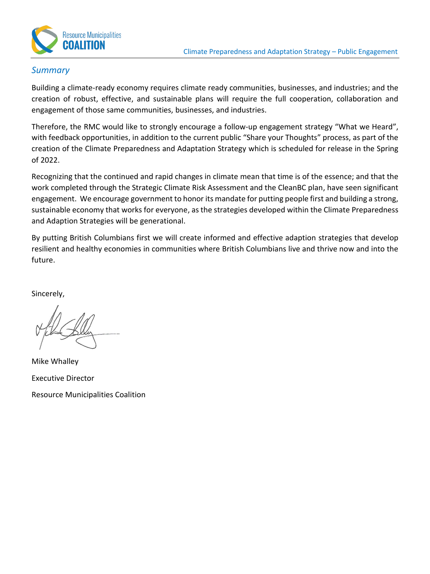

## *Summary*

Building a climate-ready economy requires climate ready communities, businesses, and industries; and the creation of robust, effective, and sustainable plans will require the full cooperation, collaboration and engagement of those same communities, businesses, and industries.

Therefore, the RMC would like to strongly encourage a follow-up engagement strategy "What we Heard", with feedback opportunities, in addition to the current public "Share your Thoughts" process, as part of the creation of the Climate Preparedness and Adaptation Strategy which is scheduled for release in the Spring of 2022.

Recognizing that the continued and rapid changes in climate mean that time is of the essence; and that the work completed through the Strategic Climate Risk Assessment and the CleanBC plan, have seen significant engagement. We encourage government to honor its mandate for putting people first and building a strong, sustainable economy that works for everyone, as the strategies developed within the Climate Preparedness and Adaption Strategies will be generational.

By putting British Columbians first we will create informed and effective adaption strategies that develop resilient and healthy economies in communities where British Columbians live and thrive now and into the future.

Sincerely,

Mike Whalley Executive Director Resource Municipalities Coalition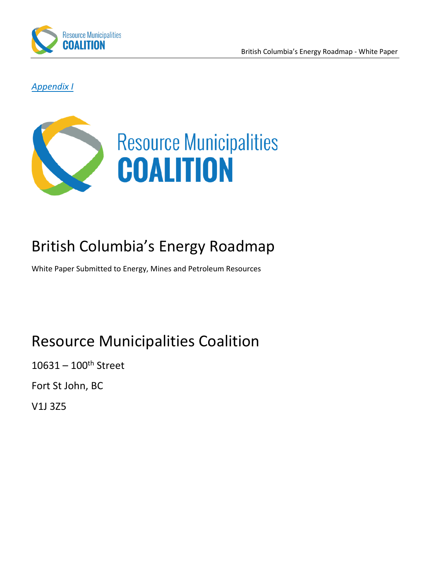

*Appendix I*



## British Columbia's Energy Roadmap

White Paper Submitted to Energy, Mines and Petroleum Resources

## Resource Municipalities Coalition

 $10631 - 100$ <sup>th</sup> Street

Fort St John, BC

V1J 3Z5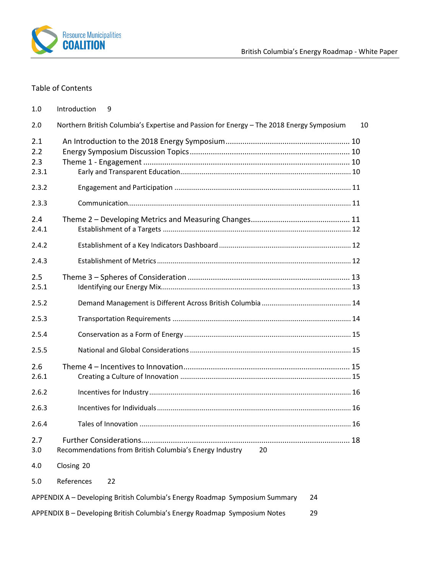

## Table of Contents

| 1.0                        | Introduction<br>9                                                                        |    |
|----------------------------|------------------------------------------------------------------------------------------|----|
| 2.0                        | Northern British Columbia's Expertise and Passion for Energy - The 2018 Energy Symposium | 10 |
| 2.1<br>2.2<br>2.3<br>2.3.1 |                                                                                          |    |
| 2.3.2                      |                                                                                          |    |
| 2.3.3                      |                                                                                          |    |
| 2.4<br>2.4.1               |                                                                                          |    |
| 2.4.2                      |                                                                                          |    |
| 2.4.3                      |                                                                                          |    |
| 2.5<br>2.5.1               |                                                                                          |    |
| 2.5.2                      |                                                                                          |    |
| 2.5.3                      |                                                                                          |    |
| 2.5.4                      |                                                                                          |    |
| 2.5.5                      |                                                                                          |    |
| 2.6<br>2.6.1               |                                                                                          |    |
| 2.6.2                      |                                                                                          |    |
| 2.6.3                      |                                                                                          |    |
| 2.6.4                      |                                                                                          |    |
| 2.7<br>3.0                 | Recommendations from British Columbia's Energy Industry<br>20                            |    |
| 4.0                        | Closing 20                                                                               |    |
| 5.0                        | References<br>22                                                                         |    |
|                            | APPENDIX A - Developing British Columbia's Energy Roadmap Symposium Summary<br>24        |    |
|                            | APPENDIX B - Developing British Columbia's Energy Roadmap Symposium Notes<br>29          |    |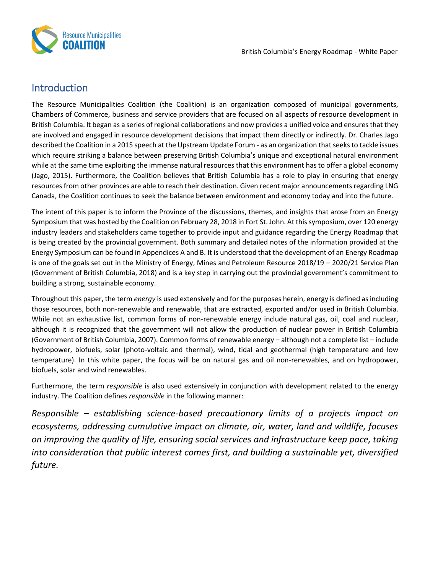

## <span id="page-9-0"></span>Introduction

The Resource Municipalities Coalition (the Coalition) is an organization composed of municipal governments, Chambers of Commerce, business and service providers that are focused on all aspects of resource development in British Columbia. It began as a series of regional collaborations and now provides a unified voice and ensures that they are involved and engaged in resource development decisions that impact them directly or indirectly. Dr. Charles Jago described the Coalition in a 2015 speech at the Upstream Update Forum - as an organization that seeks to tackle issues which require striking a balance between preserving British Columbia's unique and exceptional natural environment while at the same time exploiting the immense natural resources that this environment has to offer a global economy (Jago, 2015). Furthermore, the Coalition believes that British Columbia has a role to play in ensuring that energy resources from other provinces are able to reach their destination. Given recent major announcements regarding LNG Canada, the Coalition continues to seek the balance between environment and economy today and into the future.

The intent of this paper is to inform the Province of the discussions, themes, and insights that arose from an Energy Symposium that was hosted by the Coalition on February 28, 2018 in Fort St. John. At this symposium, over 120 energy industry leaders and stakeholders came together to provide input and guidance regarding the Energy Roadmap that is being created by the provincial government. Both summary and detailed notes of the information provided at the Energy Symposium can be found in Appendices A and B. It is understood that the development of an Energy Roadmap is one of the goals set out in the Ministry of Energy, Mines and Petroleum Resource 2018/19 – 2020/21 Service Plan (Government of British Columbia, 2018) and is a key step in carrying out the provincial government's commitment to building a strong, sustainable economy.

Throughout this paper, the term *energy* is used extensively and for the purposes herein, energy is defined as including those resources, both non-renewable and renewable, that are extracted, exported and/or used in British Columbia. While not an exhaustive list, common forms of non-renewable energy include natural gas, oil, coal and nuclear, although it is recognized that the government will not allow the production of nuclear power in British Columbia (Government of British Columbia, 2007). Common forms of renewable energy – although not a complete list – include hydropower, biofuels, solar (photo-voltaic and thermal), wind, tidal and geothermal (high temperature and low temperature). In this white paper, the focus will be on natural gas and oil non-renewables, and on hydropower, biofuels, solar and wind renewables.

Furthermore, the term *responsible* is also used extensively in conjunction with development related to the energy industry. The Coalition defines *responsible* in the following manner:

*Responsible – establishing science-based precautionary limits of a projects impact on ecosystems, addressing cumulative impact on climate, air, water, land and wildlife, focuses on improving the quality of life, ensuring social services and infrastructure keep pace, taking into consideration that public interest comes first, and building a sustainable yet, diversified future.*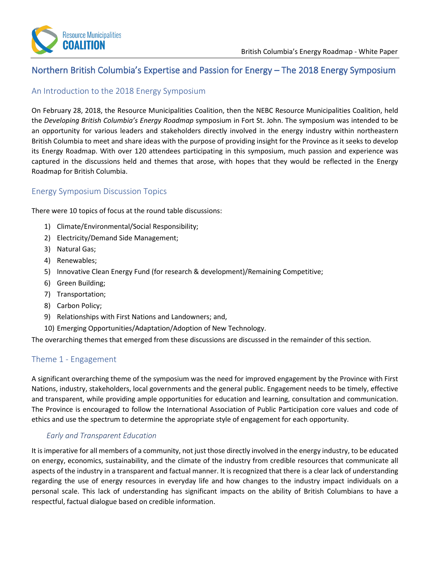

## <span id="page-10-0"></span>Northern British Columbia's Expertise and Passion for Energy – The 2018 Energy Symposium

## <span id="page-10-1"></span>An Introduction to the 2018 Energy Symposium

On February 28, 2018, the Resource Municipalities Coalition, then the NEBC Resource Municipalities Coalition, held the *Developing British Columbia's Energy Roadmap* symposium in Fort St. John. The symposium was intended to be an opportunity for various leaders and stakeholders directly involved in the energy industry within northeastern British Columbia to meet and share ideas with the purpose of providing insight for the Province as it seeks to develop its Energy Roadmap. With over 120 attendees participating in this symposium, much passion and experience was captured in the discussions held and themes that arose, with hopes that they would be reflected in the Energy Roadmap for British Columbia.

#### <span id="page-10-2"></span>Energy Symposium Discussion Topics

There were 10 topics of focus at the round table discussions:

- 1) Climate/Environmental/Social Responsibility;
- 2) Electricity/Demand Side Management;
- 3) Natural Gas;
- 4) Renewables;
- 5) Innovative Clean Energy Fund (for research & development)/Remaining Competitive;
- 6) Green Building;
- 7) Transportation;
- 8) Carbon Policy;
- 9) Relationships with First Nations and Landowners; and,
- 10) Emerging Opportunities/Adaptation/Adoption of New Technology.

The overarching themes that emerged from these discussions are discussed in the remainder of this section.

## <span id="page-10-3"></span>Theme 1 - Engagement

A significant overarching theme of the symposium was the need for improved engagement by the Province with First Nations, industry, stakeholders, local governments and the general public. Engagement needs to be timely, effective and transparent, while providing ample opportunities for education and learning, consultation and communication. The Province is encouraged to follow the International Association of Public Participation core values and code of ethics and use the spectrum to determine the appropriate style of engagement for each opportunity.

#### *Early and Transparent Education*

<span id="page-10-4"></span>It is imperative for all members of a community, not just those directly involved in the energy industry, to be educated on energy, economics, sustainability, and the climate of the industry from credible resources that communicate all aspects of the industry in a transparent and factual manner. It is recognized that there is a clear lack of understanding regarding the use of energy resources in everyday life and how changes to the industry impact individuals on a personal scale. This lack of understanding has significant impacts on the ability of British Columbians to have a respectful, factual dialogue based on credible information.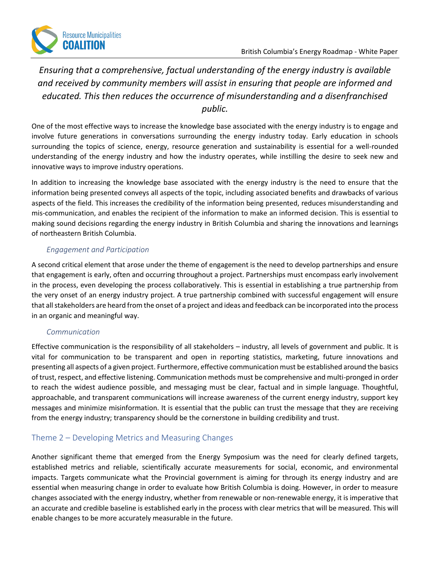## *Ensuring that a comprehensive, factual understanding of the energy industry is available and received by community members will assist in ensuring that people are informed and educated. This then reduces the occurrence of misunderstanding and a disenfranchised public.*

One of the most effective ways to increase the knowledge base associated with the energy industry is to engage and involve future generations in conversations surrounding the energy industry today. Early education in schools surrounding the topics of science, energy, resource generation and sustainability is essential for a well-rounded understanding of the energy industry and how the industry operates, while instilling the desire to seek new and innovative ways to improve industry operations.

In addition to increasing the knowledge base associated with the energy industry is the need to ensure that the information being presented conveys all aspects of the topic, including associated benefits and drawbacks of various aspects of the field. This increases the credibility of the information being presented, reduces misunderstanding and mis-communication, and enables the recipient of the information to make an informed decision. This is essential to making sound decisions regarding the energy industry in British Columbia and sharing the innovations and learnings of northeastern British Columbia.

#### *Engagement and Participation*

<span id="page-11-0"></span>A second critical element that arose under the theme of engagement is the need to develop partnerships and ensure that engagement is early, often and occurring throughout a project. Partnerships must encompass early involvement in the process, even developing the process collaboratively. This is essential in establishing a true partnership from the very onset of an energy industry project. A true partnership combined with successful engagement will ensure that all stakeholders are heard from the onset of a project and ideas and feedback can be incorporated into the process in an organic and meaningful way.

#### *Communication*

<span id="page-11-1"></span>Effective communication is the responsibility of all stakeholders – industry, all levels of government and public. It is vital for communication to be transparent and open in reporting statistics, marketing, future innovations and presenting all aspects of a given project. Furthermore, effective communication must be established around the basics of trust, respect, and effective listening. Communication methods must be comprehensive and multi-pronged in order to reach the widest audience possible, and messaging must be clear, factual and in simple language. Thoughtful, approachable, and transparent communications will increase awareness of the current energy industry, support key messages and minimize misinformation. It is essential that the public can trust the message that they are receiving from the energy industry; transparency should be the cornerstone in building credibility and trust.

## <span id="page-11-2"></span>Theme 2 – Developing Metrics and Measuring Changes

Another significant theme that emerged from the Energy Symposium was the need for clearly defined targets, established metrics and reliable, scientifically accurate measurements for social, economic, and environmental impacts. Targets communicate what the Provincial government is aiming for through its energy industry and are essential when measuring change in order to evaluate how British Columbia is doing. However, in order to measure changes associated with the energy industry, whether from renewable or non-renewable energy, it is imperative that an accurate and credible baseline is established early in the process with clear metrics that will be measured. This will enable changes to be more accurately measurable in the future.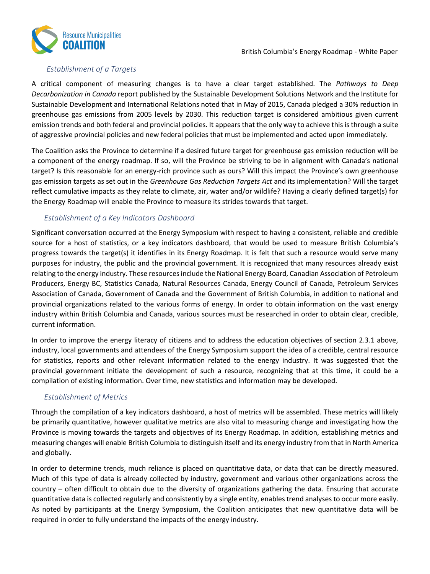

#### *Establishment of a Targets*

<span id="page-12-0"></span>A critical component of measuring changes is to have a clear target established. The *Pathways to Deep Decarbonization in Canada* report published by the Sustainable Development Solutions Network and the Institute for Sustainable Development and International Relations noted that in May of 2015, Canada pledged a 30% reduction in greenhouse gas emissions from 2005 levels by 2030. This reduction target is considered ambitious given current emission trends and both federal and provincial policies. It appears that the only way to achieve this is through a suite of aggressive provincial policies and new federal policies that must be implemented and acted upon immediately.

The Coalition asks the Province to determine if a desired future target for greenhouse gas emission reduction will be a component of the energy roadmap. If so, will the Province be striving to be in alignment with Canada's national target? Is this reasonable for an energy-rich province such as ours? Will this impact the Province's own greenhouse gas emission targets as set out in the *Greenhouse Gas Reduction Targets Act* and its implementation? Will the target reflect cumulative impacts as they relate to climate, air, water and/or wildlife? Having a clearly defined target(s) for the Energy Roadmap will enable the Province to measure its strides towards that target.

#### <span id="page-12-1"></span>*Establishment of a Key Indicators Dashboard*

Significant conversation occurred at the Energy Symposium with respect to having a consistent, reliable and credible source for a host of statistics, or a key indicators dashboard, that would be used to measure British Columbia's progress towards the target(s) it identifies in its Energy Roadmap. It is felt that such a resource would serve many purposes for industry, the public and the provincial government. It is recognized that many resources already exist relating to the energy industry. These resources include the National Energy Board, Canadian Association of Petroleum Producers, Energy BC, Statistics Canada, Natural Resources Canada, Energy Council of Canada, Petroleum Services Association of Canada, Government of Canada and the Government of British Columbia, in addition to national and provincial organizations related to the various forms of energy. In order to obtain information on the vast energy industry within British Columbia and Canada, various sources must be researched in order to obtain clear, credible, current information.

In order to improve the energy literacy of citizens and to address the education objectives of section 2.3.1 above, industry, local governments and attendees of the Energy Symposium support the idea of a credible, central resource for statistics, reports and other relevant information related to the energy industry. It was suggested that the provincial government initiate the development of such a resource, recognizing that at this time, it could be a compilation of existing information. Over time, new statistics and information may be developed.

#### <span id="page-12-2"></span>*Establishment of Metrics*

Through the compilation of a key indicators dashboard, a host of metrics will be assembled. These metrics will likely be primarily quantitative, however qualitative metrics are also vital to measuring change and investigating how the Province is moving towards the targets and objectives of its Energy Roadmap. In addition, establishing metrics and measuring changes will enable British Columbia to distinguish itself and its energy industry from that in North America and globally.

In order to determine trends, much reliance is placed on quantitative data, or data that can be directly measured. Much of this type of data is already collected by industry, government and various other organizations across the country – often difficult to obtain due to the diversity of organizations gathering the data. Ensuring that accurate quantitative data is collected regularly and consistently by a single entity, enables trend analyses to occur more easily. As noted by participants at the Energy Symposium, the Coalition anticipates that new quantitative data will be required in order to fully understand the impacts of the energy industry.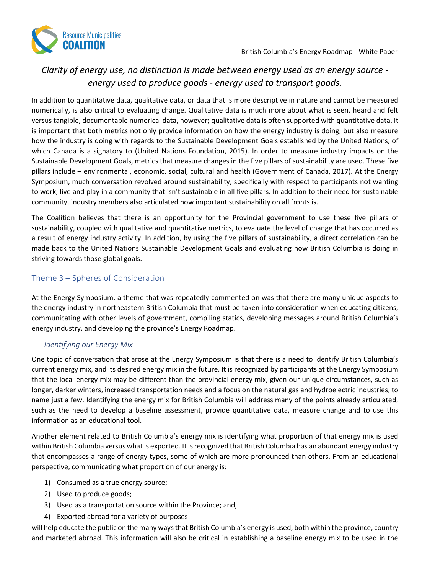

## *Clarity of energy use, no distinction is made between energy used as an energy source energy used to produce goods - energy used to transport goods.*

In addition to quantitative data, qualitative data, or data that is more descriptive in nature and cannot be measured numerically, is also critical to evaluating change. Qualitative data is much more about what is seen, heard and felt versus tangible, documentable numerical data, however; qualitative data is often supported with quantitative data. It is important that both metrics not only provide information on how the energy industry is doing, but also measure how the industry is doing with regards to the Sustainable Development Goals established by the United Nations, of which Canada is a signatory to (United Nations Foundation, 2015). In order to measure industry impacts on the Sustainable Development Goals, metrics that measure changes in the five pillars of sustainability are used. These five pillars include – environmental, economic, social, cultural and health (Government of Canada, 2017). At the Energy Symposium, much conversation revolved around sustainability, specifically with respect to participants not wanting to work, live and play in a community that isn't sustainable in all five pillars. In addition to their need for sustainable community, industry members also articulated how important sustainability on all fronts is.

The Coalition believes that there is an opportunity for the Provincial government to use these five pillars of sustainability, coupled with qualitative and quantitative metrics, to evaluate the level of change that has occurred as a result of energy industry activity. In addition, by using the five pillars of sustainability, a direct correlation can be made back to the United Nations Sustainable Development Goals and evaluating how British Columbia is doing in striving towards those global goals.

## <span id="page-13-0"></span>Theme 3 – Spheres of Consideration

At the Energy Symposium, a theme that was repeatedly commented on was that there are many unique aspects to the energy industry in northeastern British Columbia that must be taken into consideration when educating citizens, communicating with other levels of government, compiling statics, developing messages around British Columbia's energy industry, and developing the province's Energy Roadmap.

## <span id="page-13-1"></span>*Identifying our Energy Mix*

One topic of conversation that arose at the Energy Symposium is that there is a need to identify British Columbia's current energy mix, and its desired energy mix in the future. It is recognized by participants at the Energy Symposium that the local energy mix may be different than the provincial energy mix, given our unique circumstances, such as longer, darker winters, increased transportation needs and a focus on the natural gas and hydroelectric industries, to name just a few. Identifying the energy mix for British Columbia will address many of the points already articulated, such as the need to develop a baseline assessment, provide quantitative data, measure change and to use this information as an educational tool.

Another element related to British Columbia's energy mix is identifying what proportion of that energy mix is used within British Columbia versus what is exported. It is recognized that British Columbia has an abundant energy industry that encompasses a range of energy types, some of which are more pronounced than others. From an educational perspective, communicating what proportion of our energy is:

- 1) Consumed as a true energy source;
- 2) Used to produce goods;
- 3) Used as a transportation source within the Province; and,
- 4) Exported abroad for a variety of purposes

will help educate the public on the many ways that British Columbia's energy is used, both within the province, country and marketed abroad. This information will also be critical in establishing a baseline energy mix to be used in the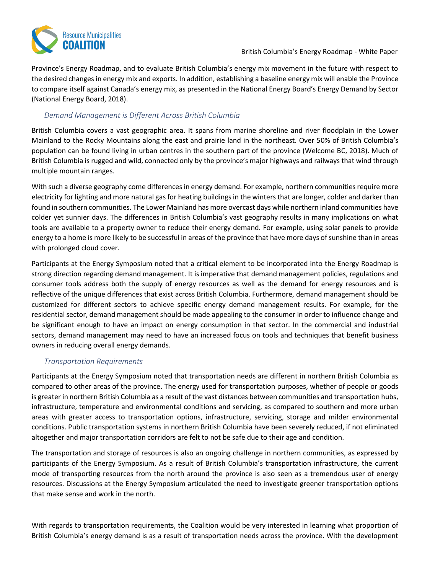

Province's Energy Roadmap, and to evaluate British Columbia's energy mix movement in the future with respect to the desired changes in energy mix and exports. In addition, establishing a baseline energy mix will enable the Province to compare itself against Canada's energy mix, as presented in the National Energy Board's Energy Demand by Sector (National Energy Board, 2018).

#### <span id="page-14-0"></span>*Demand Management is Different Across British Columbia*

British Columbia covers a vast geographic area. It spans from marine shoreline and river floodplain in the Lower Mainland to the Rocky Mountains along the east and prairie land in the northeast. Over 50% of British Columbia's population can be found living in urban centres in the southern part of the province (Welcome BC, 2018). Much of British Columbia is rugged and wild, connected only by the province's major highways and railways that wind through multiple mountain ranges.

With such a diverse geography come differences in energy demand. For example, northern communities require more electricity for lighting and more natural gas for heating buildings in the winters that are longer, colder and darker than found in southern communities. The Lower Mainland has more overcast days while northern inland communities have colder yet sunnier days. The differences in British Columbia's vast geography results in many implications on what tools are available to a property owner to reduce their energy demand. For example, using solar panels to provide energy to a home is more likely to be successful in areas of the province that have more days of sunshine than in areas with prolonged cloud cover.

Participants at the Energy Symposium noted that a critical element to be incorporated into the Energy Roadmap is strong direction regarding demand management. It is imperative that demand management policies, regulations and consumer tools address both the supply of energy resources as well as the demand for energy resources and is reflective of the unique differences that exist across British Columbia. Furthermore, demand management should be customized for different sectors to achieve specific energy demand management results. For example, for the residential sector, demand management should be made appealing to the consumer in order to influence change and be significant enough to have an impact on energy consumption in that sector. In the commercial and industrial sectors, demand management may need to have an increased focus on tools and techniques that benefit business owners in reducing overall energy demands.

#### <span id="page-14-1"></span>*Transportation Requirements*

Participants at the Energy Symposium noted that transportation needs are different in northern British Columbia as compared to other areas of the province. The energy used for transportation purposes, whether of people or goods is greater in northern British Columbia as a result of the vast distances between communities and transportation hubs, infrastructure, temperature and environmental conditions and servicing, as compared to southern and more urban areas with greater access to transportation options, infrastructure, servicing, storage and milder environmental conditions. Public transportation systems in northern British Columbia have been severely reduced, if not eliminated altogether and major transportation corridors are felt to not be safe due to their age and condition.

The transportation and storage of resources is also an ongoing challenge in northern communities, as expressed by participants of the Energy Symposium. As a result of British Columbia's transportation infrastructure, the current mode of transporting resources from the north around the province is also seen as a tremendous user of energy resources. Discussions at the Energy Symposium articulated the need to investigate greener transportation options that make sense and work in the north.

With regards to transportation requirements, the Coalition would be very interested in learning what proportion of British Columbia's energy demand is as a result of transportation needs across the province. With the development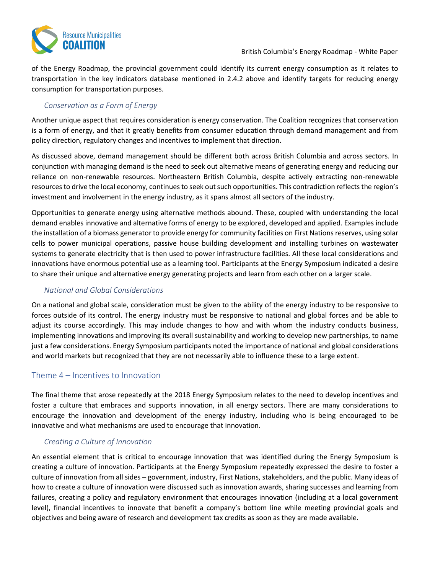

of the Energy Roadmap, the provincial government could identify its current energy consumption as it relates to transportation in the key indicators database mentioned in 2.4.2 above and identify targets for reducing energy consumption for transportation purposes.

#### <span id="page-15-0"></span>*Conservation as a Form of Energy*

Another unique aspect that requires consideration is energy conservation. The Coalition recognizes that conservation is a form of energy, and that it greatly benefits from consumer education through demand management and from policy direction, regulatory changes and incentives to implement that direction.

As discussed above, demand management should be different both across British Columbia and across sectors. In conjunction with managing demand is the need to seek out alternative means of generating energy and reducing our reliance on non-renewable resources. Northeastern British Columbia, despite actively extracting non-renewable resources to drive the local economy, continues to seek out such opportunities. This contradiction reflects the region's investment and involvement in the energy industry, as it spans almost all sectors of the industry.

Opportunities to generate energy using alternative methods abound. These, coupled with understanding the local demand enables innovative and alternative forms of energy to be explored, developed and applied. Examples include the installation of a biomass generator to provide energy for community facilities on First Nations reserves, using solar cells to power municipal operations, passive house building development and installing turbines on wastewater systems to generate electricity that is then used to power infrastructure facilities. All these local considerations and innovations have enormous potential use as a learning tool. Participants at the Energy Symposium indicated a desire to share their unique and alternative energy generating projects and learn from each other on a larger scale.

#### <span id="page-15-1"></span>*National and Global Considerations*

On a national and global scale, consideration must be given to the ability of the energy industry to be responsive to forces outside of its control. The energy industry must be responsive to national and global forces and be able to adjust its course accordingly. This may include changes to how and with whom the industry conducts business, implementing innovations and improving its overall sustainability and working to develop new partnerships, to name just a few considerations. Energy Symposium participants noted the importance of national and global considerations and world markets but recognized that they are not necessarily able to influence these to a large extent.

#### <span id="page-15-2"></span>Theme 4 – Incentives to Innovation

The final theme that arose repeatedly at the 2018 Energy Symposium relates to the need to develop incentives and foster a culture that embraces and supports innovation, in all energy sectors. There are many considerations to encourage the innovation and development of the energy industry, including who is being encouraged to be innovative and what mechanisms are used to encourage that innovation.

#### <span id="page-15-3"></span>*Creating a Culture of Innovation*

An essential element that is critical to encourage innovation that was identified during the Energy Symposium is creating a culture of innovation. Participants at the Energy Symposium repeatedly expressed the desire to foster a culture of innovation from all sides – government, industry, First Nations, stakeholders, and the public. Many ideas of how to create a culture of innovation were discussed such as innovation awards, sharing successes and learning from failures, creating a policy and regulatory environment that encourages innovation (including at a local government level), financial incentives to innovate that benefit a company's bottom line while meeting provincial goals and objectives and being aware of research and development tax credits as soon as they are made available.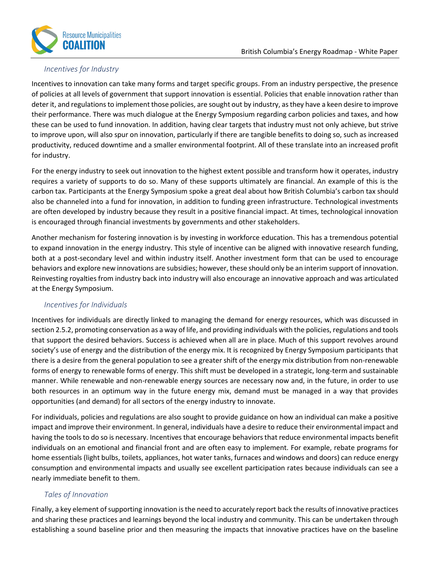

#### <span id="page-16-0"></span>*Incentives for Industry*

Incentives to innovation can take many forms and target specific groups. From an industry perspective, the presence of policies at all levels of government that support innovation is essential. Policies that enable innovation rather than deter it, and regulations to implement those policies, are sought out by industry, as they have a keen desire to improve their performance. There was much dialogue at the Energy Symposium regarding carbon policies and taxes, and how these can be used to fund innovation. In addition, having clear targets that industry must not only achieve, but strive to improve upon, will also spur on innovation, particularly if there are tangible benefits to doing so, such as increased productivity, reduced downtime and a smaller environmental footprint. All of these translate into an increased profit for industry.

For the energy industry to seek out innovation to the highest extent possible and transform how it operates, industry requires a variety of supports to do so. Many of these supports ultimately are financial. An example of this is the carbon tax. Participants at the Energy Symposium spoke a great deal about how British Columbia's carbon tax should also be channeled into a fund for innovation, in addition to funding green infrastructure. Technological investments are often developed by industry because they result in a positive financial impact. At times, technological innovation is encouraged through financial investments by governments and other stakeholders.

Another mechanism for fostering innovation is by investing in workforce education. This has a tremendous potential to expand innovation in the energy industry. This style of incentive can be aligned with innovative research funding, both at a post-secondary level and within industry itself. Another investment form that can be used to encourage behaviors and explore new innovations are subsidies; however, these should only be an interim support of innovation. Reinvesting royalties from industry back into industry will also encourage an innovative approach and was articulated at the Energy Symposium.

#### <span id="page-16-1"></span>*Incentives for Individuals*

Incentives for individuals are directly linked to managing the demand for energy resources, which was discussed in section 2.5.2, promoting conservation as a way of life, and providing individuals with the policies, regulations and tools that support the desired behaviors. Success is achieved when all are in place. Much of this support revolves around society's use of energy and the distribution of the energy mix. It is recognized by Energy Symposium participants that there is a desire from the general population to see a greater shift of the energy mix distribution from non-renewable forms of energy to renewable forms of energy. This shift must be developed in a strategic, long-term and sustainable manner. While renewable and non-renewable energy sources are necessary now and, in the future, in order to use both resources in an optimum way in the future energy mix, demand must be managed in a way that provides opportunities (and demand) for all sectors of the energy industry to innovate.

For individuals, policies and regulations are also sought to provide guidance on how an individual can make a positive impact and improve their environment. In general, individuals have a desire to reduce their environmental impact and having the tools to do so is necessary. Incentives that encourage behaviors that reduce environmental impacts benefit individuals on an emotional and financial front and are often easy to implement. For example, rebate programs for home essentials (light bulbs, toilets, appliances, hot water tanks, furnaces and windows and doors) can reduce energy consumption and environmental impacts and usually see excellent participation rates because individuals can see a nearly immediate benefit to them.

#### <span id="page-16-2"></span>*Tales of Innovation*

Finally, a key element of supporting innovation is the need to accurately report back the results of innovative practices and sharing these practices and learnings beyond the local industry and community. This can be undertaken through establishing a sound baseline prior and then measuring the impacts that innovative practices have on the baseline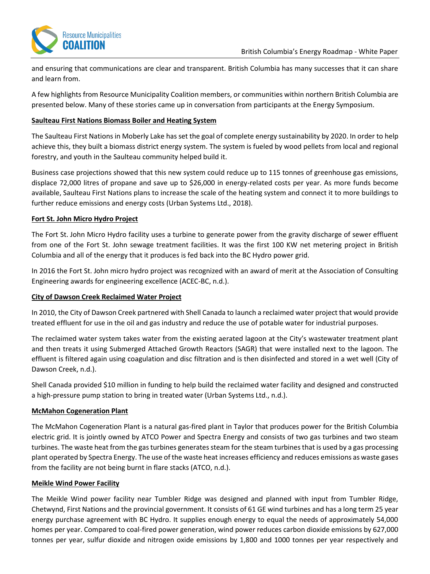

and ensuring that communications are clear and transparent. British Columbia has many successes that it can share and learn from.

A few highlights from Resource Municipality Coalition members, or communities within northern British Columbia are presented below. Many of these stories came up in conversation from participants at the Energy Symposium.

#### **Saulteau First Nations Biomass Boiler and Heating System**

The Saulteau First Nations in Moberly Lake has set the goal of complete energy sustainability by 2020. In order to help achieve this, they built a biomass district energy system. The system is fueled by wood pellets from local and regional forestry, and youth in the Saulteau community helped build it.

Business case projections showed that this new system could reduce up to 115 tonnes of greenhouse gas emissions, displace 72,000 litres of propane and save up to \$26,000 in energy-related costs per year. As more funds become available, Saulteau First Nations plans to increase the scale of the heating system and connect it to more buildings to further reduce emissions and energy costs (Urban Systems Ltd., 2018).

#### **Fort St. John Micro Hydro Project**

The Fort St. John Micro Hydro facility uses a turbine to generate power from the gravity discharge of sewer effluent from one of the Fort St. John sewage treatment facilities. It was the first 100 KW net metering project in British Columbia and all of the energy that it produces is fed back into the BC Hydro power grid.

In 2016 the Fort St. John micro hydro project was recognized with an award of merit at the Association of Consulting Engineering awards for engineering excellence (ACEC-BC, n.d.).

#### **City of Dawson Creek Reclaimed Water Project**

In 2010, the City of Dawson Creek partnered with Shell Canada to launch a reclaimed water project that would provide treated effluent for use in the oil and gas industry and reduce the use of potable water for industrial purposes.

The reclaimed water system takes water from the existing aerated lagoon at the City's wastewater treatment plant and then treats it using Submerged Attached Growth Reactors (SAGR) that were installed next to the lagoon. The effluent is filtered again using coagulation and disc filtration and is then disinfected and stored in a wet well (City of Dawson Creek, n.d.).

Shell Canada provided \$10 million in funding to help build the reclaimed water facility and designed and constructed a high-pressure pump station to bring in treated water (Urban Systems Ltd., n.d.).

#### **McMahon Cogeneration Plant**

The McMahon Cogeneration Plant is a natural gas-fired plant in Taylor that produces power for the British Columbia electric grid. It is jointly owned by ATCO Power and Spectra Energy and consists of two gas turbines and two steam turbines. The waste heat from the gas turbines generates steam for the steam turbines that is used by a gas processing plant operated by Spectra Energy. The use of the waste heat increases efficiency and reduces emissions as waste gases from the facility are not being burnt in flare stacks (ATCO, n.d.).

#### **Meikle Wind Power Facility**

The Meikle Wind power facility near Tumbler Ridge was designed and planned with input from Tumbler Ridge, Chetwynd, First Nations and the provincial government. It consists of 61 GE wind turbines and has a long term 25 year energy purchase agreement with BC Hydro. It supplies enough energy to equal the needs of approximately 54,000 homes per year. Compared to coal-fired power generation, wind power reduces carbon dioxide emissions by 627,000 tonnes per year, sulfur dioxide and nitrogen oxide emissions by 1,800 and 1000 tonnes per year respectively and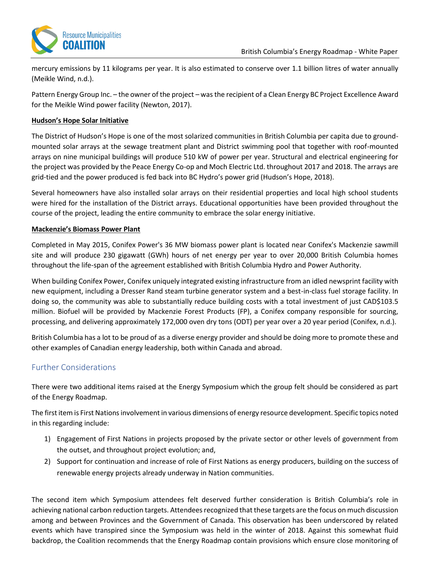

mercury emissions by 11 kilograms per year. It is also estimated to conserve over 1.1 billion litres of water annually (Meikle Wind, n.d.).

Pattern Energy Group Inc. – the owner of the project – was the recipient of a Clean Energy BC Project Excellence Award for the Meikle Wind power facility (Newton, 2017).

#### **Hudson's Hope Solar Initiative**

The District of Hudson's Hope is one of the most solarized communities in British Columbia per capita due to groundmounted solar arrays at the sewage treatment plant and District swimming pool that together with roof-mounted arrays on nine municipal buildings will produce 510 kW of power per year. Structural and electrical engineering for the project was provided by the Peace Energy Co-op and Moch Electric Ltd. throughout 2017 and 2018. The arrays are grid-tied and the power produced is fed back into BC Hydro's power grid (Hudson's Hope, 2018).

Several homeowners have also installed solar arrays on their residential properties and local high school students were hired for the installation of the District arrays. Educational opportunities have been provided throughout the course of the project, leading the entire community to embrace the solar energy initiative.

#### **Mackenzie's Biomass Power Plant**

Completed in May 2015, Conifex Power's 36 MW biomass power plant is located near Conifex's Mackenzie sawmill site and will produce 230 gigawatt (GWh) hours of net energy per year to over 20,000 British Columbia homes throughout the life-span of the agreement established with British Columbia Hydro and Power Authority.

When building Conifex Power, Conifex uniquely integrated existing infrastructure from an idled newsprint facility with new equipment, including a Dresser Rand steam turbine generator system and a best-in-class fuel storage facility. In doing so, the community was able to substantially reduce building costs with a total investment of just CAD\$103.5 million. Biofuel will be provided by Mackenzie Forest Products (FP), a Conifex company responsible for sourcing, processing, and delivering approximately 172,000 oven dry tons (ODT) per year over a 20 year period (Conifex, n.d.).

British Columbia has a lot to be proud of as a diverse energy provider and should be doing more to promote these and other examples of Canadian energy leadership, both within Canada and abroad.

## <span id="page-18-0"></span>Further Considerations

There were two additional items raised at the Energy Symposium which the group felt should be considered as part of the Energy Roadmap.

The first item is First Nations involvement in various dimensions of energy resource development. Specific topics noted in this regarding include:

- 1) Engagement of First Nations in projects proposed by the private sector or other levels of government from the outset, and throughout project evolution; and,
- 2) Support for continuation and increase of role of First Nations as energy producers, building on the success of renewable energy projects already underway in Nation communities.

The second item which Symposium attendees felt deserved further consideration is British Columbia's role in achieving national carbon reduction targets. Attendees recognized that these targets are the focus on much discussion among and between Provinces and the Government of Canada. This observation has been underscored by related events which have transpired since the Symposium was held in the winter of 2018. Against this somewhat fluid backdrop, the Coalition recommends that the Energy Roadmap contain provisions which ensure close monitoring of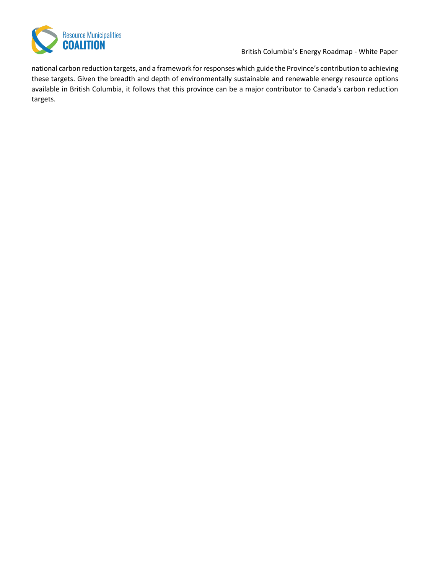

British Columbia's Energy Roadmap - White Paper

national carbon reduction targets, and a framework for responses which guide the Province's contribution to achieving these targets. Given the breadth and depth of environmentally sustainable and renewable energy resource options available in British Columbia, it follows that this province can be a major contributor to Canada's carbon reduction targets.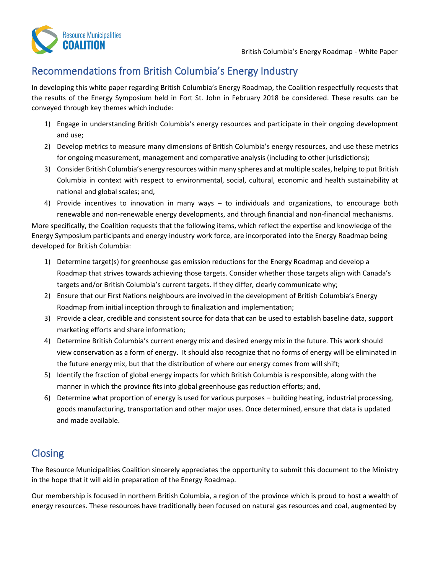

## <span id="page-20-0"></span>Recommendations from British Columbia's Energy Industry

In developing this white paper regarding British Columbia's Energy Roadmap, the Coalition respectfully requests that the results of the Energy Symposium held in Fort St. John in February 2018 be considered. These results can be conveyed through key themes which include:

- 1) Engage in understanding British Columbia's energy resources and participate in their ongoing development and use;
- 2) Develop metrics to measure many dimensions of British Columbia's energy resources, and use these metrics for ongoing measurement, management and comparative analysis (including to other jurisdictions);
- 3) Consider British Columbia's energy resources within many spheres and at multiple scales, helping to put British Columbia in context with respect to environmental, social, cultural, economic and health sustainability at national and global scales; and,
- 4) Provide incentives to innovation in many ways to individuals and organizations, to encourage both renewable and non-renewable energy developments, and through financial and non-financial mechanisms.

More specifically, the Coalition requests that the following items, which reflect the expertise and knowledge of the Energy Symposium participants and energy industry work force, are incorporated into the Energy Roadmap being developed for British Columbia:

- 1) Determine target(s) for greenhouse gas emission reductions for the Energy Roadmap and develop a Roadmap that strives towards achieving those targets. Consider whether those targets align with Canada's targets and/or British Columbia's current targets. If they differ, clearly communicate why;
- 2) Ensure that our First Nations neighbours are involved in the development of British Columbia's Energy Roadmap from initial inception through to finalization and implementation;
- 3) Provide a clear, credible and consistent source for data that can be used to establish baseline data, support marketing efforts and share information;
- 4) Determine British Columbia's current energy mix and desired energy mix in the future. This work should view conservation as a form of energy. It should also recognize that no forms of energy will be eliminated in the future energy mix, but that the distribution of where our energy comes from will shift;
- 5) Identify the fraction of global energy impacts for which British Columbia is responsible, along with the manner in which the province fits into global greenhouse gas reduction efforts; and,
- 6) Determine what proportion of energy is used for various purposes building heating, industrial processing, goods manufacturing, transportation and other major uses. Once determined, ensure that data is updated and made available.

## <span id="page-20-1"></span>**Closing**

The Resource Municipalities Coalition sincerely appreciates the opportunity to submit this document to the Ministry in the hope that it will aid in preparation of the Energy Roadmap.

Our membership is focused in northern British Columbia, a region of the province which is proud to host a wealth of energy resources. These resources have traditionally been focused on natural gas resources and coal, augmented by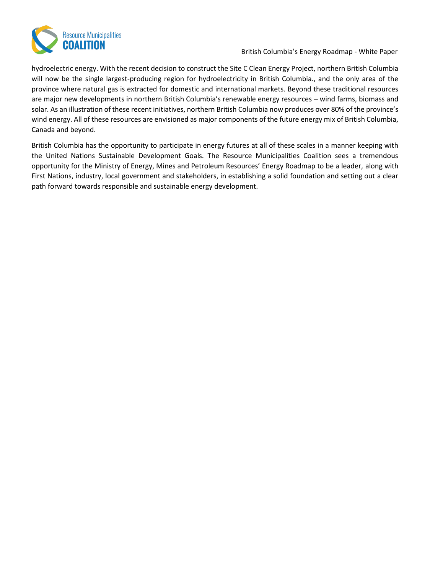

#### British Columbia's Energy Roadmap - White Paper

hydroelectric energy. With the recent decision to construct the Site C Clean Energy Project, northern British Columbia will now be the single largest-producing region for hydroelectricity in British Columbia., and the only area of the province where natural gas is extracted for domestic and international markets. Beyond these traditional resources are major new developments in northern British Columbia's renewable energy resources – wind farms, biomass and solar. As an illustration of these recent initiatives, northern British Columbia now produces over 80% of the province's wind energy. All of these resources are envisioned as major components of the future energy mix of British Columbia, Canada and beyond.

British Columbia has the opportunity to participate in energy futures at all of these scales in a manner keeping with the United Nations Sustainable Development Goals. The Resource Municipalities Coalition sees a tremendous opportunity for the Ministry of Energy, Mines and Petroleum Resources' Energy Roadmap to be a leader, along with First Nations, industry, local government and stakeholders, in establishing a solid foundation and setting out a clear path forward towards responsible and sustainable energy development.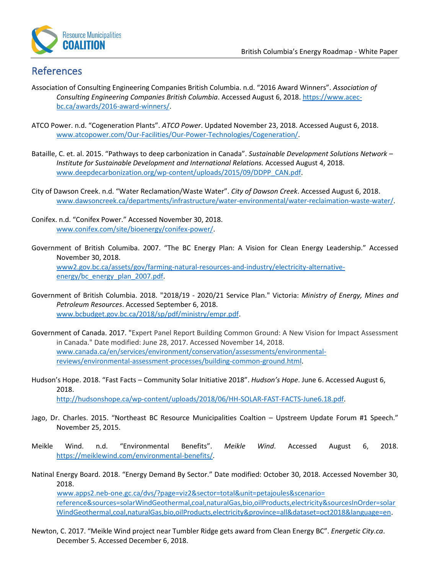

## <span id="page-22-0"></span>References

- Association of Consulting Engineering Companies British Columbia. n.d. "2016 Award Winners". *Association of Consulting Engineering Companies British Columbia*. Accessed August 6, 2018[. https://www.acec](https://www.acec-bc.ca/awards/2016-award-winners/)[bc.ca/awards/2016-award-winners/.](https://www.acec-bc.ca/awards/2016-award-winners/)
- ATCO Power. n.d. "Cogeneration Plants". *ATCO Power*. Updated November 23, 2018. Accessed August 6, 2018. www.atcopower.com/Our-Facilities/Our-Power-Technologies/Cogeneration/.
- Bataille, C. et. al. 2015. "Pathways to deep carbonization in Canada". *Sustainable Development Solutions Network – Institute for Sustainable Development and International Relations.* Accessed August 4, 2018. [www.deepdecarbonization.org/wp-content/uploads/2015/09/DDPP\\_CAN.pdf.](http://www.deepdecarbonization.org/wp-content/uploads/2015/09/DDPP_CAN.pdf)
- City of Dawson Creek. n.d. "Water Reclamation/Waste Water". *City of Dawson Creek*. Accessed August 6, 2018. [www.dawsoncreek.ca/departments/infrastructure/water-environmental/water-reclaimation-waste-water/.](http://www.dawsoncreek.ca/departments/infrastructure/water-environmental/water-reclaimation-waste-water/)
- Conifex. n.d. "Conifex Power." Accessed November 30, 2018. [www.conifex.com/site/bioenergy/conifex-power/.](http://www.conifex.com/site/bioenergy/conifex-power/)
- Government of British Columiba. 2007. "The BC Energy Plan: A Vision for Clean Energy Leadership." Accessed November 30, 2018. [www2.gov.bc.ca/assets/gov/farming-natural-resources-and-industry/electricity-alternative](https://www2.gov.bc.ca/assets/gov/farming-natural-resources-and-industry/electricity-alternative-energy/bc_energy_plan_2007.pdf)[energy/bc\\_energy\\_plan\\_2007.pdf.](https://www2.gov.bc.ca/assets/gov/farming-natural-resources-and-industry/electricity-alternative-energy/bc_energy_plan_2007.pdf)
- Government of British Columbia. 2018. "2018/19 2020/21 Service Plan." Victoria: *Ministry of Energy, Mines and Petroleum Resources*. Accessed September 6, 2018. [www.bcbudget.gov.bc.ca/2018/sp/pdf/ministry/empr.pdf.](http://www.bcbudget.gov.bc.ca/2018/sp/pdf/ministry/empr.pdf)
- Government of Canada. 2017. "Expert Panel Report Building Common Ground: A New Vision for Impact Assessment in Canada." Date modified: June 28, 2017. Accessed November 14, 2018. [www.canada.ca/en/services/environment/conservation/assessments/environmental](http://www.canada.ca/en/services/environment/conservation/assessments/environmental-reviews/environmental-assessment-processes/building-common-ground.html)[reviews/environmental-assessment-processes/building-common-ground.html.](http://www.canada.ca/en/services/environment/conservation/assessments/environmental-reviews/environmental-assessment-processes/building-common-ground.html)
- Hudson's Hope. 2018. "Fast Facts Community Solar Initiative 2018". *Hudson's Hope*. June 6. Accessed August 6, 2018. [http://hudsonshope.ca/wp-content/uploads/2018/06/HH-SOLAR-FAST-FACTS-June6.18.pdf.](http://hudsonshope.ca/wp-content/uploads/2018/06/HH-SOLAR-FAST-FACTS-June6.18.pdf)
	-
- Jago, Dr. Charles. 2015. "Northeast BC Resource Municipalities Coaltion Upstreem Update Forum #1 Speech." November 25, 2015.
- Meikle Wind. n.d. "Environmental Benefits". *Meikle Wind*. Accessed August 6, 2018. [https://meiklewind.com/environmental-benefits/.](https://meiklewind.com/environmental-benefits/)
- Natinal Energy Board. 2018. "Energy Demand By Sector." Date modified: October 30, 2018. Accessed November 30, 2018. [www.apps2.neb-one.gc.ca/dvs/?page=viz2&sector=total&unit=petajoules&scenario=](http://www.apps2.neb-one.gc.ca/dvs/?page=viz2§or=total&unit=petajoules&scenario=reference&sources=solarWindGeothermal,coal,naturalGas,bio,oilProducts,electricity&sourcesInOrder=solarWindGeothermal,coal,naturalGas,bio,oilProducts,electricity&province=all&dataset=oct2018&language=en) [reference&sources=solarWindGeothermal,coal,naturalGas,bio,oilProducts,electricity&sourcesInOrder=solar](http://www.apps2.neb-one.gc.ca/dvs/?page=viz2§or=total&unit=petajoules&scenario=reference&sources=solarWindGeothermal,coal,naturalGas,bio,oilProducts,electricity&sourcesInOrder=solarWindGeothermal,coal,naturalGas,bio,oilProducts,electricity&province=all&dataset=oct2018&language=en) [WindGeothermal,coal,naturalGas,bio,oilProducts,electricity&province=all&dataset=oct2018&language=en.](http://www.apps2.neb-one.gc.ca/dvs/?page=viz2§or=total&unit=petajoules&scenario=reference&sources=solarWindGeothermal,coal,naturalGas,bio,oilProducts,electricity&sourcesInOrder=solarWindGeothermal,coal,naturalGas,bio,oilProducts,electricity&province=all&dataset=oct2018&language=en)
- Newton, C. 2017. "Meikle Wind project near Tumbler Ridge gets award from Clean Energy BC". *Energetic City.ca*. December 5. Accessed December 6, 2018.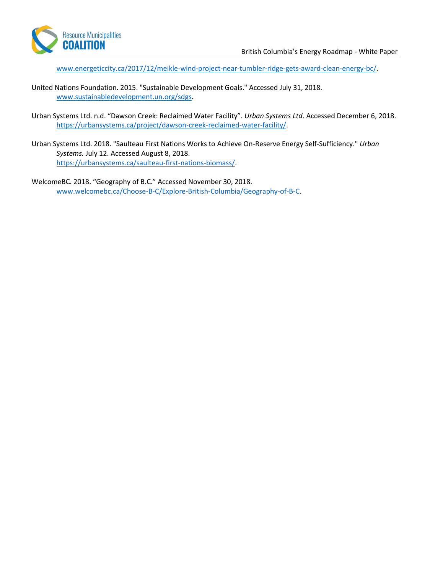

www.energeticcity.ca/2017/12/meikle-wind-project-near-tumbler-ridge-gets-award-clean-energy-bc/.

- United Nations Foundation. 2015. "Sustainable Development Goals." Accessed July 31, 2018. [www.sustainabledevelopment.un.org/sdgs.](file://///usl.urban-systems.com/projects/Projects_FSJ/1770/0044/02/R-Reports-Studies-Documents/www.sustainabledevelopment.un.org/sdgs)
- Urban Systems Ltd. n.d. "Dawson Creek: Reclaimed Water Facility". *Urban Systems Ltd*. Accessed December 6, 2018. [https://urbansystems.ca/project/dawson-creek-reclaimed-water-facility/.](https://urbansystems.ca/project/dawson-creek-reclaimed-water-facility/)
- Urban Systems Ltd. 2018. "Saulteau First Nations Works to Achieve On-Reserve Energy Self-Sufficiency." *Urban Systems.* July 12. Accessed August 8, 2018. [https://urbansystems.ca/saulteau-first-nations-biomass/.](https://urbansystems.ca/saulteau-first-nations-biomass/)
- WelcomeBC. 2018. "Geography of B.C." Accessed November 30, 2018. [www.welcomebc.ca/Choose-B-C/Explore-British-Columbia/Geography-of-B-C.](http://www.welcomebc.ca/Choose-B-C/Explore-British-Columbia/Geography-of-B-C)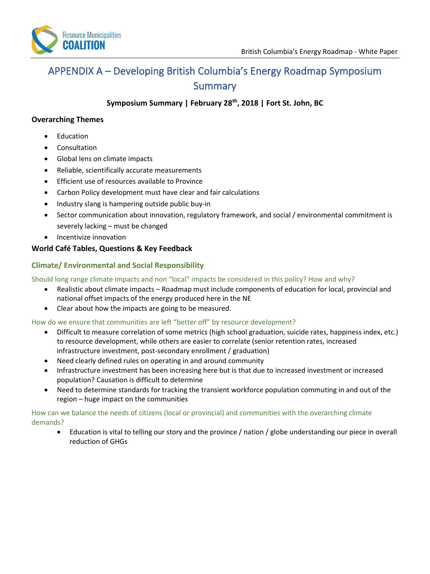

## <span id="page-24-0"></span>APPENDIX A – Developing British Columbia's Energy Roadmap Symposium Summary

**Symposium Summary | February 28th, 2018 | Fort St. John, BC**

#### **Overarching Themes**

- Education
- **Consultation**
- Global lens on climate impacts
- Reliable, scientifically accurate measurements
- Efficient use of resources available to Province
- Carbon Policy development must have clear and fair calculations
- Industry slang is hampering outside public buy-in
- Sector communication about innovation, regulatory framework, and social / environmental commitment is severely lacking – must be changed
- Incentivize innovation

#### **World Café Tables, Questions & Key Feedback**

#### **Climate/ Environmental and Social Responsibility**

Should long range climate impacts and non "local" impacts be considered in this policy? How and why?

- Realistic about climate impacts Roadmap must include components of education for local, provincial and national offset impacts of the energy produced here in the NE
- Clear about how the impacts are going to be measured.

How do we ensure that communities are left "better off" by resource development?

- Difficult to measure correlation of some metrics (high school graduation, suicide rates, happiness index, etc.) to resource development, while others are easier to correlate (senior retention rates, increased infrastructure investment, post-secondary enrollment / graduation)
- Need clearly defined rules on operating in and around community
- Infrastructure investment has been increasing here but is that due to increased investment or increased population? Causation is difficult to determine
- Need to determine standards for tracking the transient workforce population commuting in and out of the region – huge impact on the communities

#### How can we balance the needs of citizens (local or provincial) and communities with the overarching climate demands?

• Education is vital to telling our story and the province / nation / globe understanding our piece in overall reduction of GHGs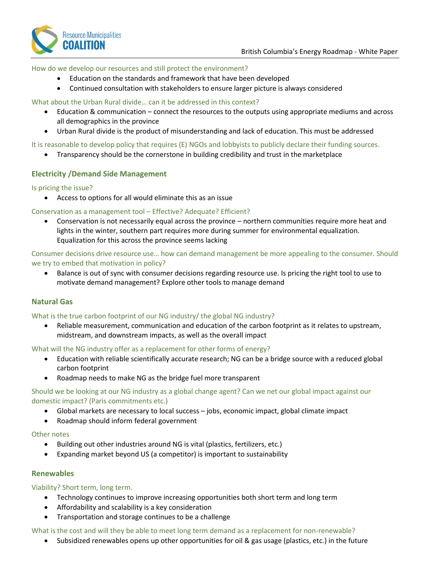

#### How do we develop our resources and still protect the environment?

- Education on the standards and framework that have been developed
- Continued consultation with stakeholders to ensure larger picture is always considered

#### What about the Urban Rural divide… can it be addressed in this context?

- Education & communication connect the resources to the outputs using appropriate mediums and across all demographics in the province
- Urban Rural divide is the product of misunderstanding and lack of education. This must be addressed

#### It is reasonable to develop policy that requires (E) NGOs and lobbyists to publicly declare their funding sources.

• Transparency should be the cornerstone in building credibility and trust in the marketplace

#### **Electricity /Demand Side Management**

#### Is pricing the issue?

• Access to options for all would eliminate this as an issue

#### Conservation as a management tool – Effective? Adequate? Efficient?

• Conservation is not necessarily equal across the province – northern communities require more heat and lights in the winter, southern part requires more during summer for environmental equalization. Equalization for this across the province seems lacking

Consumer decisions drive resource use… how can demand management be more appealing to the consumer. Should we try to embed that motivation in policy?

• Balance is out of sync with consumer decisions regarding resource use. Is pricing the right tool to use to motivate demand management? Explore other tools to manage demand

#### **Natural Gas**

#### What is the true carbon footprint of our NG industry/ the global NG industry?

• Reliable measurement, communication and education of the carbon footprint as it relates to upstream, midstream, and downstream impacts, as well as the overall impact

What will the NG industry offer as a replacement for other forms of energy?

- Education with reliable scientifically accurate research; NG can be a bridge source with a reduced global carbon footprint
- Roadmap needs to make NG as the bridge fuel more transparent

#### Should we be looking at our NG industry as a global change agent? Can we net our global impact against our domestic impact? (Paris commitments etc.)

- Global markets are necessary to local success jobs, economic impact, global climate impact
- Roadmap should inform federal government

#### Other notes

- Building out other industries around NG is vital (plastics, fertilizers, etc.)
- Expanding market beyond US (a competitor) is important to sustainability

#### **Renewables**

Viability? Short term, long term.

- Technology continues to improve increasing opportunities both short term and long term
- Affordability and scalability is a key consideration
- Transportation and storage continues to be a challenge

#### What is the cost and will they be able to meet long term demand as a replacement for non-renewable?

• Subsidized renewables opens up other opportunities for oil & gas usage (plastics, etc.) in the future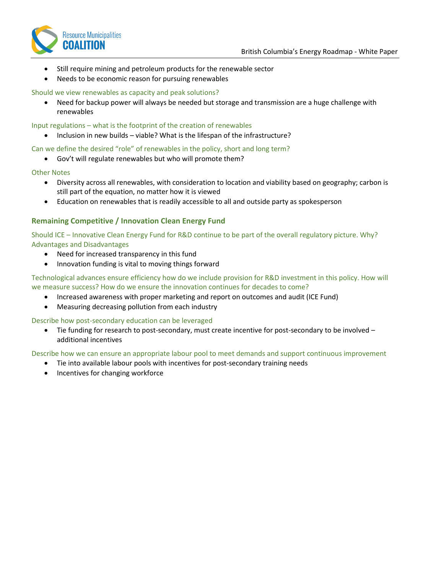

- Still require mining and petroleum products for the renewable sector
- Needs to be economic reason for pursuing renewables

#### Should we view renewables as capacity and peak solutions?

• Need for backup power will always be needed but storage and transmission are a huge challenge with renewables

#### Input regulations – what is the footprint of the creation of renewables

• Inclusion in new builds – viable? What is the lifespan of the infrastructure?

#### Can we define the desired "role" of renewables in the policy, short and long term?

• Gov't will regulate renewables but who will promote them?

#### Other Notes

- Diversity across all renewables, with consideration to location and viability based on geography; carbon is still part of the equation, no matter how it is viewed
- Education on renewables that is readily accessible to all and outside party as spokesperson

#### **Remaining Competitive / Innovation Clean Energy Fund**

Should ICE – Innovative Clean Energy Fund for R&D continue to be part of the overall regulatory picture. Why? Advantages and Disadvantages

- Need for increased transparency in this fund
- Innovation funding is vital to moving things forward

Technological advances ensure efficiency how do we include provision for R&D investment in this policy. How will we measure success? How do we ensure the innovation continues for decades to come?

- Increased awareness with proper marketing and report on outcomes and audit (ICE Fund)
- Measuring decreasing pollution from each industry

Describe how post-secondary education can be leveraged

• Tie funding for research to post-secondary, must create incentive for post-secondary to be involved – additional incentives

Describe how we can ensure an appropriate labour pool to meet demands and support continuous improvement

- Tie into available labour pools with incentives for post-secondary training needs
- Incentives for changing workforce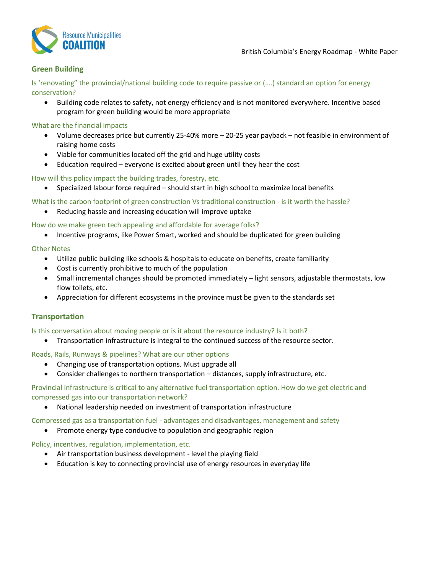

#### **Green Building**

Is 'renovating" the provincial/national building code to require passive or (….) standard an option for energy conservation?

• Building code relates to safety, not energy efficiency and is not monitored everywhere. Incentive based program for green building would be more appropriate

#### What are the financial impacts

- Volume decreases price but currently 25-40% more 20-25 year payback not feasible in environment of raising home costs
- Viable for communities located off the grid and huge utility costs
- Education required everyone is excited about green until they hear the cost

How will this policy impact the building trades, forestry, etc.

- Specialized labour force required should start in high school to maximize local benefits
- What is the carbon footprint of green construction Vs traditional construction is it worth the hassle?
	- Reducing hassle and increasing education will improve uptake

How do we make green tech appealing and affordable for average folks?

• Incentive programs, like Power Smart, worked and should be duplicated for green building

#### Other Notes

- Utilize public building like schools & hospitals to educate on benefits, create familiarity
- Cost is currently prohibitive to much of the population
- Small incremental changes should be promoted immediately light sensors, adjustable thermostats, low flow toilets, etc.
- Appreciation for different ecosystems in the province must be given to the standards set

#### **Transportation**

#### Is this conversation about moving people or is it about the resource industry? Is it both?

• Transportation infrastructure is integral to the continued success of the resource sector.

#### Roads, Rails, Runways & pipelines? What are our other options

- Changing use of transportation options. Must upgrade all
- Consider challenges to northern transportation distances, supply infrastructure, etc.

#### Provincial infrastructure is critical to any alternative fuel transportation option. How do we get electric and compressed gas into our transportation network?

• National leadership needed on investment of transportation infrastructure

#### Compressed gas as a transportation fuel - advantages and disadvantages, management and safety

• Promote energy type conducive to population and geographic region

#### Policy, incentives, regulation, implementation, etc.

- Air transportation business development level the playing field
- Education is key to connecting provincial use of energy resources in everyday life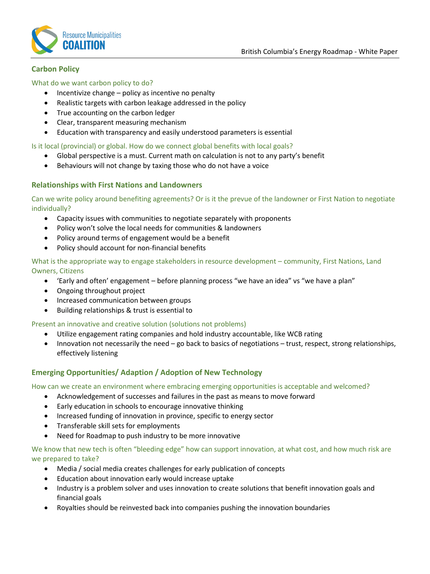

#### **Carbon Policy**

#### What do we want carbon policy to do?

- Incentivize change policy as incentive no penalty
- Realistic targets with carbon leakage addressed in the policy
- True accounting on the carbon ledger
- Clear, transparent measuring mechanism
- Education with transparency and easily understood parameters is essential

#### Is it local (provincial) or global. How do we connect global benefits with local goals?

- Global perspective is a must. Current math on calculation is not to any party's benefit
- Behaviours will not change by taxing those who do not have a voice

#### **Relationships with First Nations and Landowners**

Can we write policy around benefiting agreements? Or is it the prevue of the landowner or First Nation to negotiate individually?

- Capacity issues with communities to negotiate separately with proponents
- Policy won't solve the local needs for communities & landowners
- Policy around terms of engagement would be a benefit
- Policy should account for non-financial benefits

What is the appropriate way to engage stakeholders in resource development – community, First Nations, Land Owners, Citizens

- 'Early and often' engagement before planning process "we have an idea" vs "we have a plan"
- Ongoing throughout project
- Increased communication between groups
- Building relationships & trust is essential to

#### Present an innovative and creative solution (solutions not problems)

- Utilize engagement rating companies and hold industry accountable, like WCB rating
- Innovation not necessarily the need go back to basics of negotiations trust, respect, strong relationships, effectively listening

#### **Emerging Opportunities/ Adaption / Adoption of New Technology**

How can we create an environment where embracing emerging opportunities is acceptable and welcomed?

- Acknowledgement of successes and failures in the past as means to move forward
- Early education in schools to encourage innovative thinking
- Increased funding of innovation in province, specific to energy sector
- Transferable skill sets for employments
- Need for Roadmap to push industry to be more innovative

We know that new tech is often "bleeding edge" how can support innovation, at what cost, and how much risk are we prepared to take?

- Media / social media creates challenges for early publication of concepts
- Education about innovation early would increase uptake
- Industry is a problem solver and uses innovation to create solutions that benefit innovation goals and financial goals
- Royalties should be reinvested back into companies pushing the innovation boundaries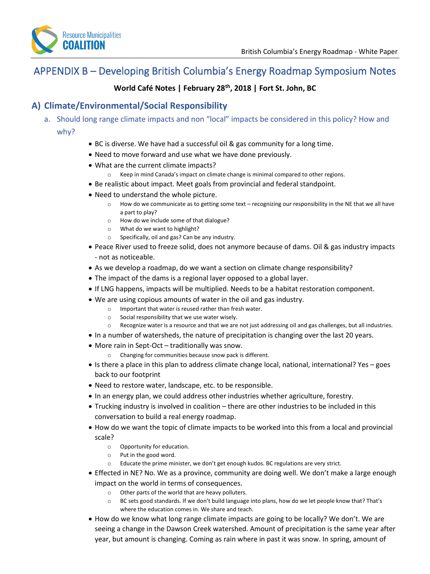

## <span id="page-29-0"></span>APPENDIX B – Developing British Columbia's Energy Roadmap Symposium Notes

## **World Café Notes | February 28th, 2018 | Fort St. John, BC**

## **A) Climate/Environmental/Social Responsibility**

- a. Should long range climate impacts and non "local" impacts be considered in this policy? How and why?
	- BC is diverse. We have had a successful oil & gas community for a long time.
	- Need to move forward and use what we have done previously.
	- What are the current climate impacts?
		- o Keep in mind Canada's impact on climate change is minimal compared to other regions.
	- Be realistic about impact. Meet goals from provincial and federal standpoint.
	- Need to understand the whole picture.
		- o How do we communicate as to getting some text recognizing our responsibility in the NE that we all have a part to play?
		- o How do we include some of that dialogue?
		- o What do we want to highlight?
		- o Specifically, oil and gas? Can be any industry.
	- Peace River used to freeze solid, does not anymore because of dams. Oil & gas industry impacts - not as noticeable.
	- As we develop a roadmap, do we want a section on climate change responsibility?
	- The impact of the dams is a regional layer opposed to a global layer.
	- If LNG happens, impacts will be multiplied. Needs to be a habitat restoration component.
	- We are using copious amounts of water in the oil and gas industry.
		- o Important that water is reused rather than fresh water.
		- o Social responsibility that we use water wisely.
		- o Recognize water is a resource and that we are not just addressing oil and gas challenges, but all industries.
	- In a number of watersheds, the nature of precipitation is changing over the last 20 years.
	- More rain in Sept-Oct traditionally was snow.
		- o Changing for communities because snow pack is different.
	- Is there a place in this plan to address climate change local, national, international? Yes goes back to our footprint
	- Need to restore water, landscape, etc. to be responsible.
	- In an energy plan, we could address other industries whether agriculture, forestry.
	- Trucking industry is involved in coalition there are other industries to be included in this conversation to build a real energy roadmap.
	- How do we want the topic of climate impacts to be worked into this from a local and provincial scale?
		- o Opportunity for education.
		- o Put in the good word.
		- o Educate the prime minister, we don't get enough kudos. BC regulations are very strict.
	- Effected in NE? No. We as a province, community are doing well. We don't make a large enough impact on the world in terms of consequences.
		- o Other parts of the world that are heavy polluters.
		- o BC sets good standards. If we don't build language into plans, how do we let people know that? That's where the education comes in. We share and teach.
	- How do we know what long range climate impacts are going to be locally? We don't. We are seeing a change in the Dawson Creek watershed. Amount of precipitation is the same year after year, but amount is changing. Coming as rain where in past it was snow. In spring, amount of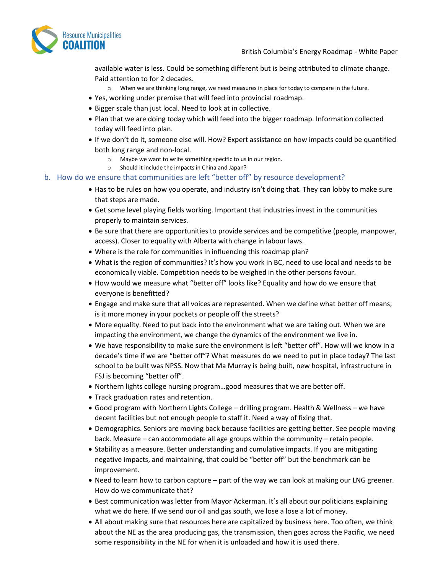

available water is less. Could be something different but is being attributed to climate change. Paid attention to for 2 decades.

- $\circ$  When we are thinking long range, we need measures in place for today to compare in the future.
- Yes, working under premise that will feed into provincial roadmap.
- Bigger scale than just local. Need to look at in collective.
- Plan that we are doing today which will feed into the bigger roadmap. Information collected today will feed into plan.
- If we don't do it, someone else will. How? Expert assistance on how impacts could be quantified both long range and non-local.
	- o Maybe we want to write something specific to us in our region.
	- o Should it include the impacts in China and Japan?
- b. How do we ensure that communities are left "better off" by resource development?
	- Has to be rules on how you operate, and industry isn't doing that. They can lobby to make sure that steps are made.
	- Get some level playing fields working. Important that industries invest in the communities properly to maintain services.
	- Be sure that there are opportunities to provide services and be competitive (people, manpower, access). Closer to equality with Alberta with change in labour laws.
	- Where is the role for communities in influencing this roadmap plan?
	- What is the region of communities? It's how you work in BC, need to use local and needs to be economically viable. Competition needs to be weighed in the other persons favour.
	- How would we measure what "better off" looks like? Equality and how do we ensure that everyone is benefitted?
	- Engage and make sure that all voices are represented. When we define what better off means, is it more money in your pockets or people off the streets?
	- More equality. Need to put back into the environment what we are taking out. When we are impacting the environment, we change the dynamics of the environment we live in.
	- We have responsibility to make sure the environment is left "better off". How will we know in a decade's time if we are "better off"? What measures do we need to put in place today? The last school to be built was NPSS. Now that Ma Murray is being built, new hospital, infrastructure in FSJ is becoming "better off".
	- Northern lights college nursing program…good measures that we are better off.
	- Track graduation rates and retention.
	- Good program with Northern Lights College drilling program. Health & Wellness we have decent facilities but not enough people to staff it. Need a way of fixing that.
	- Demographics. Seniors are moving back because facilities are getting better. See people moving back. Measure – can accommodate all age groups within the community – retain people.
	- Stability as a measure. Better understanding and cumulative impacts. If you are mitigating negative impacts, and maintaining, that could be "better off" but the benchmark can be improvement.
	- Need to learn how to carbon capture part of the way we can look at making our LNG greener. How do we communicate that?
	- Best communication was letter from Mayor Ackerman. It's all about our politicians explaining what we do here. If we send our oil and gas south, we lose a lose a lot of money.
	- All about making sure that resources here are capitalized by business here. Too often, we think about the NE as the area producing gas, the transmission, then goes across the Pacific, we need some responsibility in the NE for when it is unloaded and how it is used there.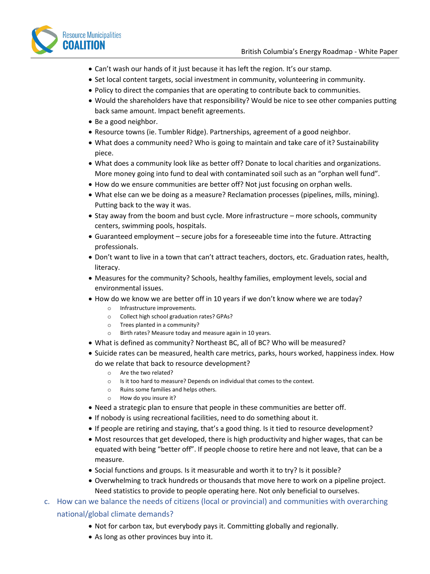

- Can't wash our hands of it just because it has left the region. It's our stamp.
- Set local content targets, social investment in community, volunteering in community.
- Policy to direct the companies that are operating to contribute back to communities.
- Would the shareholders have that responsibility? Would be nice to see other companies putting back same amount. Impact benefit agreements.
- Be a good neighbor.
- Resource towns (ie. Tumbler Ridge). Partnerships, agreement of a good neighbor.
- What does a community need? Who is going to maintain and take care of it? Sustainability piece.
- What does a community look like as better off? Donate to local charities and organizations. More money going into fund to deal with contaminated soil such as an "orphan well fund".
- How do we ensure communities are better off? Not just focusing on orphan wells.
- What else can we be doing as a measure? Reclamation processes (pipelines, mills, mining). Putting back to the way it was.
- Stay away from the boom and bust cycle. More infrastructure more schools, community centers, swimming pools, hospitals.
- Guaranteed employment secure jobs for a foreseeable time into the future. Attracting professionals.
- Don't want to live in a town that can't attract teachers, doctors, etc. Graduation rates, health, literacy.
- Measures for the community? Schools, healthy families, employment levels, social and environmental issues.
- How do we know we are better off in 10 years if we don't know where we are today?
	- o Infrastructure improvements.
	- o Collect high school graduation rates? GPAs?
	- o Trees planted in a community?
	- o Birth rates? Measure today and measure again in 10 years.
- What is defined as community? Northeast BC, all of BC? Who will be measured?
- Suicide rates can be measured, health care metrics, parks, hours worked, happiness index. How do we relate that back to resource development?
	- o Are the two related?
	- o Is it too hard to measure? Depends on individual that comes to the context.
	- o Ruins some families and helps others.
	- o How do you insure it?
- Need a strategic plan to ensure that people in these communities are better off.
- If nobody is using recreational facilities, need to do something about it.
- If people are retiring and staying, that's a good thing. Is it tied to resource development?
- Most resources that get developed, there is high productivity and higher wages, that can be equated with being "better off". If people choose to retire here and not leave, that can be a measure.
- Social functions and groups. Is it measurable and worth it to try? Is it possible?
- Overwhelming to track hundreds or thousands that move here to work on a pipeline project. Need statistics to provide to people operating here. Not only beneficial to ourselves.
- c. How can we balance the needs of citizens (local or provincial) and communities with overarching national/global climate demands?
	- Not for carbon tax, but everybody pays it. Committing globally and regionally.
	- As long as other provinces buy into it.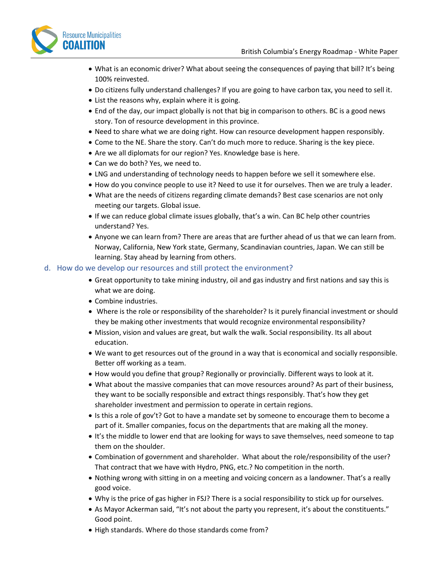

- What is an economic driver? What about seeing the consequences of paying that bill? It's being 100% reinvested.
- Do citizens fully understand challenges? If you are going to have carbon tax, you need to sell it.
- List the reasons why, explain where it is going.
- End of the day, our impact globally is not that big in comparison to others. BC is a good news story. Ton of resource development in this province.
- Need to share what we are doing right. How can resource development happen responsibly.
- Come to the NE. Share the story. Can't do much more to reduce. Sharing is the key piece.
- Are we all diplomats for our region? Yes. Knowledge base is here.
- Can we do both? Yes, we need to.
- LNG and understanding of technology needs to happen before we sell it somewhere else.
- How do you convince people to use it? Need to use it for ourselves. Then we are truly a leader.
- What are the needs of citizens regarding climate demands? Best case scenarios are not only meeting our targets. Global issue.
- If we can reduce global climate issues globally, that's a win. Can BC help other countries understand? Yes.
- Anyone we can learn from? There are areas that are further ahead of us that we can learn from. Norway, California, New York state, Germany, Scandinavian countries, Japan. We can still be learning. Stay ahead by learning from others.

#### d. How do we develop our resources and still protect the environment?

- Great opportunity to take mining industry, oil and gas industry and first nations and say this is what we are doing.
- Combine industries.
- Where is the role or responsibility of the shareholder? Is it purely financial investment or should they be making other investments that would recognize environmental responsibility?
- Mission, vision and values are great, but walk the walk. Social responsibility. Its all about education.
- We want to get resources out of the ground in a way that is economical and socially responsible. Better off working as a team.
- How would you define that group? Regionally or provincially. Different ways to look at it.
- What about the massive companies that can move resources around? As part of their business, they want to be socially responsible and extract things responsibly. That's how they get shareholder investment and permission to operate in certain regions.
- Is this a role of gov't? Got to have a mandate set by someone to encourage them to become a part of it. Smaller companies, focus on the departments that are making all the money.
- It's the middle to lower end that are looking for ways to save themselves, need someone to tap them on the shoulder.
- Combination of government and shareholder. What about the role/responsibility of the user? That contract that we have with Hydro, PNG, etc.? No competition in the north.
- Nothing wrong with sitting in on a meeting and voicing concern as a landowner. That's a really good voice.
- Why is the price of gas higher in FSJ? There is a social responsibility to stick up for ourselves.
- As Mayor Ackerman said, "It's not about the party you represent, it's about the constituents." Good point.
- High standards. Where do those standards come from?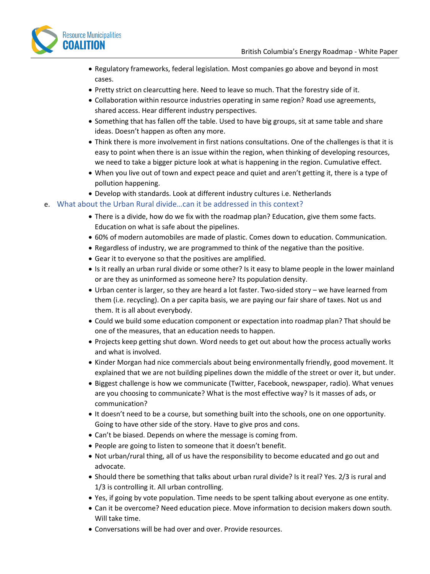

- Regulatory frameworks, federal legislation. Most companies go above and beyond in most cases.
- Pretty strict on clearcutting here. Need to leave so much. That the forestry side of it.
- Collaboration within resource industries operating in same region? Road use agreements, shared access. Hear different industry perspectives.
- Something that has fallen off the table. Used to have big groups, sit at same table and share ideas. Doesn't happen as often any more.
- Think there is more involvement in first nations consultations. One of the challenges is that it is easy to point when there is an issue within the region, when thinking of developing resources, we need to take a bigger picture look at what is happening in the region. Cumulative effect.
- When you live out of town and expect peace and quiet and aren't getting it, there is a type of pollution happening.
- Develop with standards. Look at different industry cultures i.e. Netherlands

#### e. What about the Urban Rural divide…can it be addressed in this context?

- There is a divide, how do we fix with the roadmap plan? Education, give them some facts. Education on what is safe about the pipelines.
- 60% of modern automobiles are made of plastic. Comes down to education. Communication.
- Regardless of industry, we are programmed to think of the negative than the positive.
- Gear it to everyone so that the positives are amplified.
- Is it really an urban rural divide or some other? Is it easy to blame people in the lower mainland or are they as uninformed as someone here? Its population density.
- Urban center is larger, so they are heard a lot faster. Two-sided story we have learned from them (i.e. recycling). On a per capita basis, we are paying our fair share of taxes. Not us and them. It is all about everybody.
- Could we build some education component or expectation into roadmap plan? That should be one of the measures, that an education needs to happen.
- Projects keep getting shut down. Word needs to get out about how the process actually works and what is involved.
- Kinder Morgan had nice commercials about being environmentally friendly, good movement. It explained that we are not building pipelines down the middle of the street or over it, but under.
- Biggest challenge is how we communicate (Twitter, Facebook, newspaper, radio). What venues are you choosing to communicate? What is the most effective way? Is it masses of ads, or communication?
- It doesn't need to be a course, but something built into the schools, one on one opportunity. Going to have other side of the story. Have to give pros and cons.
- Can't be biased. Depends on where the message is coming from.
- People are going to listen to someone that it doesn't benefit.
- Not urban/rural thing, all of us have the responsibility to become educated and go out and advocate.
- Should there be something that talks about urban rural divide? Is it real? Yes. 2/3 is rural and 1/3 is controlling it. All urban controlling.
- Yes, if going by vote population. Time needs to be spent talking about everyone as one entity.
- Can it be overcome? Need education piece. Move information to decision makers down south. Will take time.
- Conversations will be had over and over. Provide resources.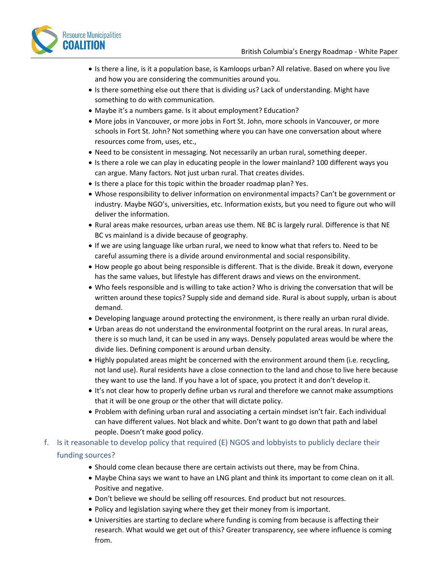

- Is there a line, is it a population base, is Kamloops urban? All relative. Based on where you live and how you are considering the communities around you.
- Is there something else out there that is dividing us? Lack of understanding. Might have something to do with communication.
- Maybe it's a numbers game. Is it about employment? Education?
- More jobs in Vancouver, or more jobs in Fort St. John, more schools in Vancouver, or more schools in Fort St. John? Not something where you can have one conversation about where resources come from, uses, etc.,
- Need to be consistent in messaging. Not necessarily an urban rural, something deeper.
- Is there a role we can play in educating people in the lower mainland? 100 different ways you can argue. Many factors. Not just urban rural. That creates divides.
- Is there a place for this topic within the broader roadmap plan? Yes.
- Whose responsibility to deliver information on environmental impacts? Can't be government or industry. Maybe NGO's, universities, etc. Information exists, but you need to figure out who will deliver the information.
- Rural areas make resources, urban areas use them. NE BC is largely rural. Difference is that NE BC vs mainland is a divide because of geography.
- If we are using language like urban rural, we need to know what that refers to. Need to be careful assuming there is a divide around environmental and social responsibility.
- How people go about being responsible is different. That is the divide. Break it down, everyone has the same values, but lifestyle has different draws and views on the environment.
- Who feels responsible and is willing to take action? Who is driving the conversation that will be written around these topics? Supply side and demand side. Rural is about supply, urban is about demand.
- Developing language around protecting the environment, is there really an urban rural divide.
- Urban areas do not understand the environmental footprint on the rural areas. In rural areas, there is so much land, it can be used in any ways. Densely populated areas would be where the divide lies. Defining component is around urban density.
- Highly populated areas might be concerned with the environment around them (i.e. recycling, not land use). Rural residents have a close connection to the land and chose to live here because they want to use the land. If you have a lot of space, you protect it and don't develop it.
- It's not clear how to properly define urban vs rural and therefore we cannot make assumptions that it will be one group or the other that will dictate policy.
- Problem with defining urban rural and associating a certain mindset isn't fair. Each individual can have different values. Not black and white. Don't want to go down that path and label people. Doesn't make good policy.
- f. Is it reasonable to develop policy that required (E) NGOS and lobbyists to publicly declare their funding sources?
	- Should come clean because there are certain activists out there, may be from China.
	- Maybe China says we want to have an LNG plant and think its important to come clean on it all. Positive and negative.
	- Don't believe we should be selling off resources. End product but not resources.
	- Policy and legislation saying where they get their money from is important.
	- Universities are starting to declare where funding is coming from because is affecting their research. What would we get out of this? Greater transparency, see where influence is coming from.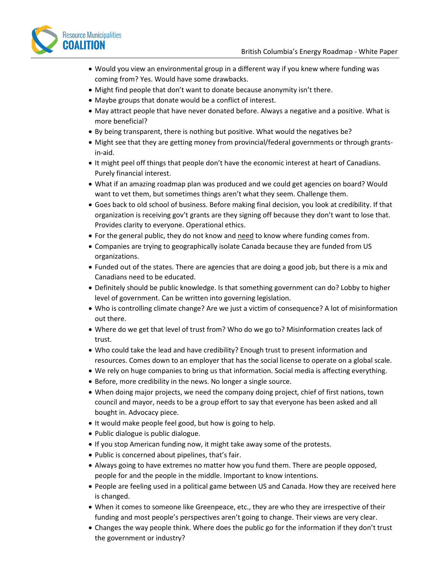

- Would you view an environmental group in a different way if you knew where funding was coming from? Yes. Would have some drawbacks.
- Might find people that don't want to donate because anonymity isn't there.
- Maybe groups that donate would be a conflict of interest.
- May attract people that have never donated before. Always a negative and a positive. What is more beneficial?
- By being transparent, there is nothing but positive. What would the negatives be?
- Might see that they are getting money from provincial/federal governments or through grantsin-aid.
- It might peel off things that people don't have the economic interest at heart of Canadians. Purely financial interest.
- What if an amazing roadmap plan was produced and we could get agencies on board? Would want to vet them, but sometimes things aren't what they seem. Challenge them.
- Goes back to old school of business. Before making final decision, you look at credibility. If that organization is receiving gov't grants are they signing off because they don't want to lose that. Provides clarity to everyone. Operational ethics.
- For the general public, they do not know and need to know where funding comes from.
- Companies are trying to geographically isolate Canada because they are funded from US organizations.
- Funded out of the states. There are agencies that are doing a good job, but there is a mix and Canadians need to be educated.
- Definitely should be public knowledge. Is that something government can do? Lobby to higher level of government. Can be written into governing legislation.
- Who is controlling climate change? Are we just a victim of consequence? A lot of misinformation out there.
- Where do we get that level of trust from? Who do we go to? Misinformation creates lack of trust.
- Who could take the lead and have credibility? Enough trust to present information and resources. Comes down to an employer that has the social license to operate on a global scale.
- We rely on huge companies to bring us that information. Social media is affecting everything.
- Before, more credibility in the news. No longer a single source.
- When doing major projects, we need the company doing project, chief of first nations, town council and mayor, needs to be a group effort to say that everyone has been asked and all bought in. Advocacy piece.
- It would make people feel good, but how is going to help.
- Public dialogue is public dialogue.
- If you stop American funding now, it might take away some of the protests.
- Public is concerned about pipelines, that's fair.
- Always going to have extremes no matter how you fund them. There are people opposed, people for and the people in the middle. Important to know intentions.
- People are feeling used in a political game between US and Canada. How they are received here is changed.
- When it comes to someone like Greenpeace, etc., they are who they are irrespective of their funding and most people's perspectives aren't going to change. Their views are very clear.
- Changes the way people think. Where does the public go for the information if they don't trust the government or industry?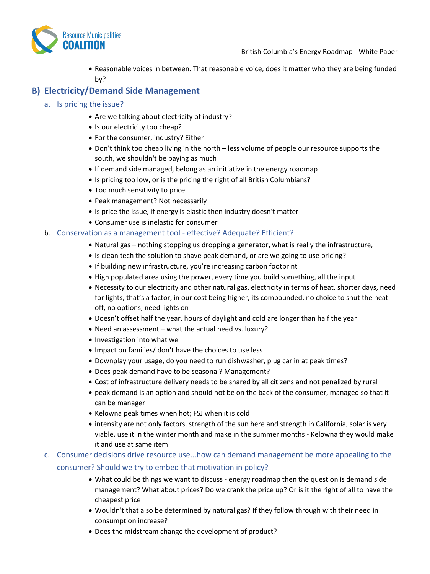

• Reasonable voices in between. That reasonable voice, does it matter who they are being funded by?

## **B) Electricity/Demand Side Management**

- a. Is pricing the issue?
	- Are we talking about electricity of industry?
	- Is our electricity too cheap?
	- For the consumer, industry? Either
	- Don't think too cheap living in the north less volume of people our resource supports the south, we shouldn't be paying as much
	- If demand side managed, belong as an initiative in the energy roadmap
	- Is pricing too low, or is the pricing the right of all British Columbians?
	- Too much sensitivity to price
	- Peak management? Not necessarily
	- Is price the issue, if energy is elastic then industry doesn't matter
	- Consumer use is inelastic for consumer

#### b. Conservation as a management tool - effective? Adequate? Efficient?

- Natural gas nothing stopping us dropping a generator, what is really the infrastructure,
- Is clean tech the solution to shave peak demand, or are we going to use pricing?
- If building new infrastructure, you're increasing carbon footprint
- High populated area using the power, every time you build something, all the input
- Necessity to our electricity and other natural gas, electricity in terms of heat, shorter days, need for lights, that's a factor, in our cost being higher, its compounded, no choice to shut the heat off, no options, need lights on
- Doesn't offset half the year, hours of daylight and cold are longer than half the year
- Need an assessment what the actual need vs. luxury?
- Investigation into what we
- Impact on families/ don't have the choices to use less
- Downplay your usage, do you need to run dishwasher, plug car in at peak times?
- Does peak demand have to be seasonal? Management?
- Cost of infrastructure delivery needs to be shared by all citizens and not penalized by rural
- peak demand is an option and should not be on the back of the consumer, managed so that it can be manager
- Kelowna peak times when hot; FSJ when it is cold
- intensity are not only factors, strength of the sun here and strength in California, solar is very viable, use it in the winter month and make in the summer months - Kelowna they would make it and use at same item

## c. Consumer decisions drive resource use...how can demand management be more appealing to the consumer? Should we try to embed that motivation in policy?

- What could be things we want to discuss energy roadmap then the question is demand side management? What about prices? Do we crank the price up? Or is it the right of all to have the cheapest price
- Wouldn't that also be determined by natural gas? If they follow through with their need in consumption increase?
- Does the midstream change the development of product?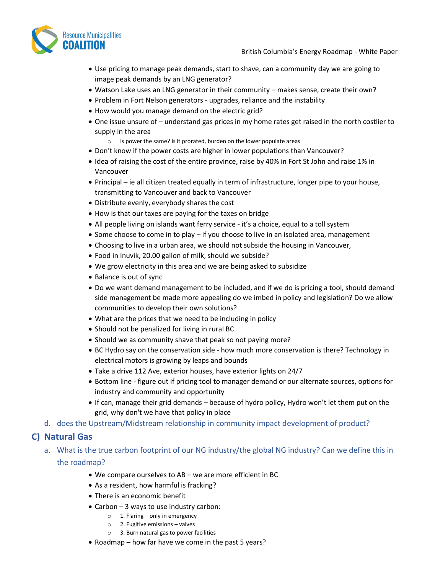

- Use pricing to manage peak demands, start to shave, can a community day we are going to image peak demands by an LNG generator?
- Watson Lake uses an LNG generator in their community makes sense, create their own?
- Problem in Fort Nelson generators upgrades, reliance and the instability
- How would you manage demand on the electric grid?
- One issue unsure of understand gas prices in my home rates get raised in the north costlier to supply in the area
	- o Is power the same? is it prorated, burden on the lower populate areas
- Don't know if the power costs are higher in lower populations than Vancouver?
- Idea of raising the cost of the entire province, raise by 40% in Fort St John and raise 1% in Vancouver
- Principal ie all citizen treated equally in term of infrastructure, longer pipe to your house, transmitting to Vancouver and back to Vancouver
- Distribute evenly, everybody shares the cost
- How is that our taxes are paying for the taxes on bridge
- All people living on islands want ferry service it's a choice, equal to a toll system
- Some choose to come in to play if you choose to live in an isolated area, management
- Choosing to live in a urban area, we should not subside the housing in Vancouver,
- Food in Inuvik, 20.00 gallon of milk, should we subside?
- We grow electricity in this area and we are being asked to subsidize
- Balance is out of sync
- Do we want demand management to be included, and if we do is pricing a tool, should demand side management be made more appealing do we imbed in policy and legislation? Do we allow communities to develop their own solutions?
- What are the prices that we need to be including in policy
- Should not be penalized for living in rural BC
- Should we as community shave that peak so not paying more?
- BC Hydro say on the conservation side how much more conservation is there? Technology in electrical motors is growing by leaps and bounds
- Take a drive 112 Ave, exterior houses, have exterior lights on 24/7
- Bottom line figure out if pricing tool to manager demand or our alternate sources, options for industry and community and opportunity
- If can, manage their grid demands because of hydro policy, Hydro won't let them put on the grid, why don't we have that policy in place
- d. does the Upstream/Midstream relationship in community impact development of product?

#### **C) Natural Gas**

- a. What is the true carbon footprint of our NG industry/the global NG industry? Can we define this in the roadmap?
	- We compare ourselves to AB we are more efficient in BC
	- As a resident, how harmful is fracking?
	- There is an economic benefit
	- Carbon 3 ways to use industry carbon:
		- $\circ$  1. Flaring only in emergency
		- o 2. Fugitive emissions valves
		- o 3. Burn natural gas to power facilities
	- Roadmap how far have we come in the past 5 years?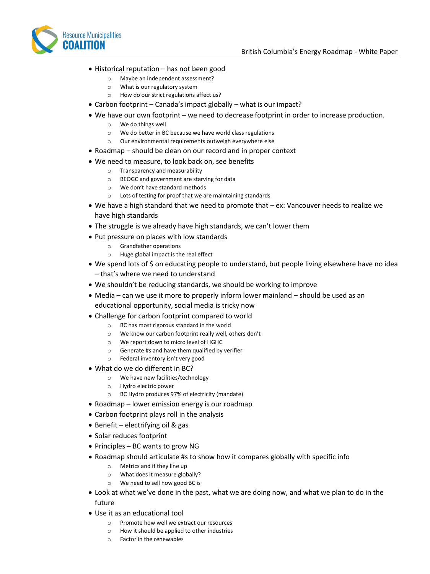

- Historical reputation has not been good
	- o Maybe an independent assessment?
	- o What is our regulatory system
	- o How do our strict regulations affect us?
- Carbon footprint Canada's impact globally what is our impact?
- We have our own footprint we need to decrease footprint in order to increase production.
	- o We do things well
	- o We do better in BC because we have world class regulations
	- o Our environmental requirements outweigh everywhere else
- Roadmap should be clean on our record and in proper context
- We need to measure, to look back on, see benefits
	- o Transparency and measurability
	- o BEOGC and government are starving for data
	- o We don't have standard methods
	- o Lots of testing for proof that we are maintaining standards
- We have a high standard that we need to promote that ex: Vancouver needs to realize we have high standards
- The struggle is we already have high standards, we can't lower them
- Put pressure on places with low standards
	- o Grandfather operations
	- o Huge global impact is the real effect
- We spend lots of \$ on educating people to understand, but people living elsewhere have no idea – that's where we need to understand
- We shouldn't be reducing standards, we should be working to improve
- Media can we use it more to properly inform lower mainland should be used as an educational opportunity, social media is tricky now
- Challenge for carbon footprint compared to world
	- o BC has most rigorous standard in the world
	- o We know our carbon footprint really well, others don't
	- o We report down to micro level of HGHC
	- o Generate #s and have them qualified by verifier
	- o Federal inventory isn't very good
- What do we do different in BC?
	- o We have new facilities/technology
	- o Hydro electric power
	- o BC Hydro produces 97% of electricity (mandate)
- Roadmap lower emission energy is our roadmap
- Carbon footprint plays roll in the analysis
- Benefit electrifying oil & gas
- Solar reduces footprint
- Principles BC wants to grow NG
- Roadmap should articulate #s to show how it compares globally with specific info
	- o Metrics and if they line up
	- o What does it measure globally?
	- o We need to sell how good BC is
- Look at what we've done in the past, what we are doing now, and what we plan to do in the future
- Use it as an educational tool
	- o Promote how well we extract our resources
	- o How it should be applied to other industries
	- o Factor in the renewables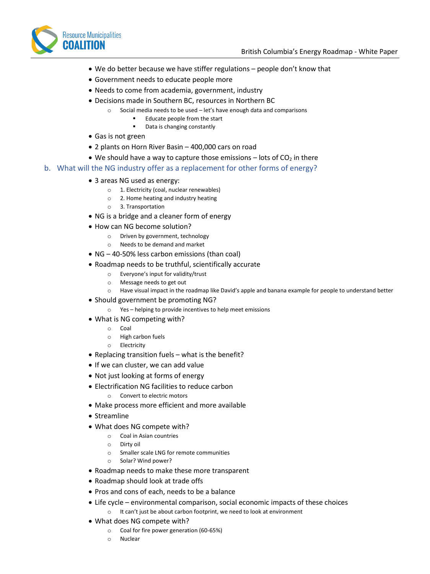

- We do better because we have stiffer regulations people don't know that
- Government needs to educate people more
- Needs to come from academia, government, industry
- Decisions made in Southern BC, resources in Northern BC
	- o Social media needs to be used let's have enough data and comparisons
		- Educate people from the start
		- Data is changing constantly
- Gas is not green
- 2 plants on Horn River Basin 400,000 cars on road
- We should have a way to capture those emissions  $-$  lots of CO<sub>2</sub> in there
- b. What will the NG industry offer as a replacement for other forms of energy?
	- 3 areas NG used as energy:
		- o 1. Electricity (coal, nuclear renewables)
		- o 2. Home heating and industry heating
		- o 3. Transportation
	- NG is a bridge and a cleaner form of energy
	- How can NG become solution?
		- o Driven by government, technology
			- o Needs to be demand and market
	- NG 40-50% less carbon emissions (than coal)
	- Roadmap needs to be truthful, scientifically accurate
		- o Everyone's input for validity/trust
		- o Message needs to get out
		- o Have visual impact in the roadmap like David's apple and banana example for people to understand better
	- Should government be promoting NG?
		- o Yes helping to provide incentives to help meet emissions
	- What is NG competing with?
		- o Coal
		- o High carbon fuels
		- o Electricity
	- Replacing transition fuels what is the benefit?
	- If we can cluster, we can add value
	- Not just looking at forms of energy
	- Electrification NG facilities to reduce carbon
		- o Convert to electric motors
	- Make process more efficient and more available
	- Streamline
	- What does NG compete with?
		- o Coal in Asian countries
		- o Dirty oil
		- o Smaller scale LNG for remote communities
		- o Solar? Wind power?
	- Roadmap needs to make these more transparent
	- Roadmap should look at trade offs
	- Pros and cons of each, needs to be a balance
	- Life cycle environmental comparison, social economic impacts of these choices o It can't just be about carbon footprint, we need to look at environment
	- What does NG compete with?
		- o Coal for fire power generation (60-65%)
		- o Nuclear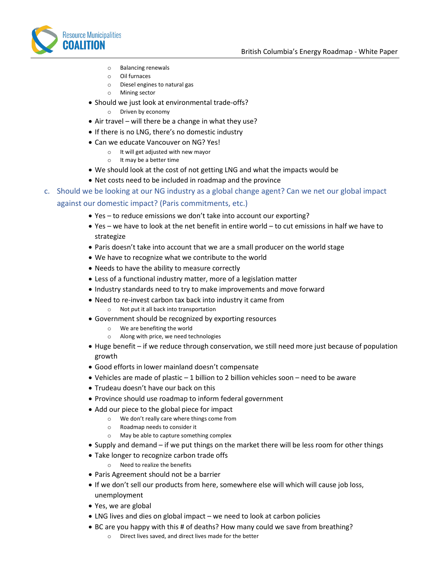

- o Balancing renewals
- o Oil furnaces
- o Diesel engines to natural gas
- o Mining sector
- Should we just look at environmental trade-offs?
	- o Driven by economy
- Air travel will there be a change in what they use?
- If there is no LNG, there's no domestic industry
- Can we educate Vancouver on NG? Yes!
	- o It will get adjusted with new mayor
	- o It may be a better time
- We should look at the cost of not getting LNG and what the impacts would be
- Net costs need to be included in roadmap and the province
- c. Should we be looking at our NG industry as a global change agent? Can we net our global impact against our domestic impact? (Paris commitments, etc.)
	- Yes to reduce emissions we don't take into account our exporting?
	- Yes we have to look at the net benefit in entire world to cut emissions in half we have to strategize
	- Paris doesn't take into account that we are a small producer on the world stage
	- We have to recognize what we contribute to the world
	- Needs to have the ability to measure correctly
	- Less of a functional industry matter, more of a legislation matter
	- Industry standards need to try to make improvements and move forward
	- Need to re-invest carbon tax back into industry it came from o Not put it all back into transportation
	- Government should be recognized by exporting resources
		- o We are benefiting the world
		- Along with price, we need technologies
	- Huge benefit if we reduce through conservation, we still need more just because of population growth
	- Good efforts in lower mainland doesn't compensate
	- Vehicles are made of plastic 1 billion to 2 billion vehicles soon need to be aware
	- Trudeau doesn't have our back on this
	- Province should use roadmap to inform federal government
	- Add our piece to the global piece for impact
		- o We don't really care where things come from
		- o Roadmap needs to consider it
		- o May be able to capture something complex
	- Supply and demand if we put things on the market there will be less room for other things
	- Take longer to recognize carbon trade offs
		- o Need to realize the benefits
	- Paris Agreement should not be a barrier
	- If we don't sell our products from here, somewhere else will which will cause job loss, unemployment
	- Yes, we are global
	- LNG lives and dies on global impact we need to look at carbon policies
	- BC are you happy with this # of deaths? How many could we save from breathing?
		- o Direct lives saved, and direct lives made for the better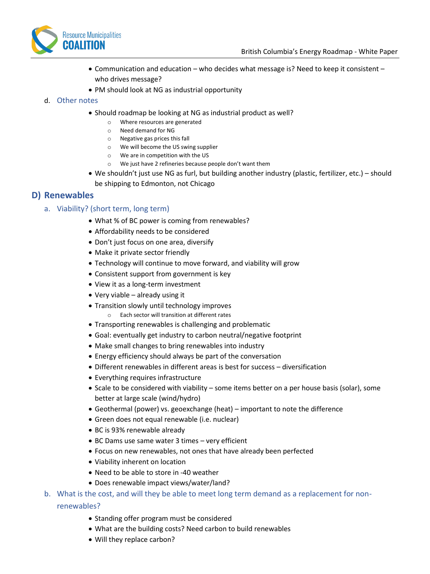

- Communication and education who decides what message is? Need to keep it consistent who drives message?
- PM should look at NG as industrial opportunity

#### d. Other notes

- Should roadmap be looking at NG as industrial product as well?
	- o Where resources are generated
	- o Need demand for NG
	- o Negative gas prices this fall
	- o We will become the US swing supplier
	- o We are in competition with the US
	- o We just have 2 refineries because people don't want them
- We shouldn't just use NG as furl, but building another industry (plastic, fertilizer, etc.) should be shipping to Edmonton, not Chicago

## **D) Renewables**

#### a. Viability? (short term, long term)

- What % of BC power is coming from renewables?
- Affordability needs to be considered
- Don't just focus on one area, diversify
- Make it private sector friendly
- Technology will continue to move forward, and viability will grow
- Consistent support from government is key
- View it as a long-term investment
- Very viable already using it
- Transition slowly until technology improves
	- o Each sector will transition at different rates
- Transporting renewables is challenging and problematic
- Goal: eventually get industry to carbon neutral/negative footprint
- Make small changes to bring renewables into industry
- Energy efficiency should always be part of the conversation
- Different renewables in different areas is best for success diversification
- Everything requires infrastructure
- Scale to be considered with viability some items better on a per house basis (solar), some better at large scale (wind/hydro)
- Geothermal (power) vs. geoexchange (heat) important to note the difference
- Green does not equal renewable (i.e. nuclear)
- BC is 93% renewable already
- BC Dams use same water 3 times very efficient
- Focus on new renewables, not ones that have already been perfected
- Viability inherent on location
- Need to be able to store in -40 weather
- Does renewable impact views/water/land?
- b. What is the cost, and will they be able to meet long term demand as a replacement for nonrenewables?
	- Standing offer program must be considered
	- What are the building costs? Need carbon to build renewables
	- Will they replace carbon?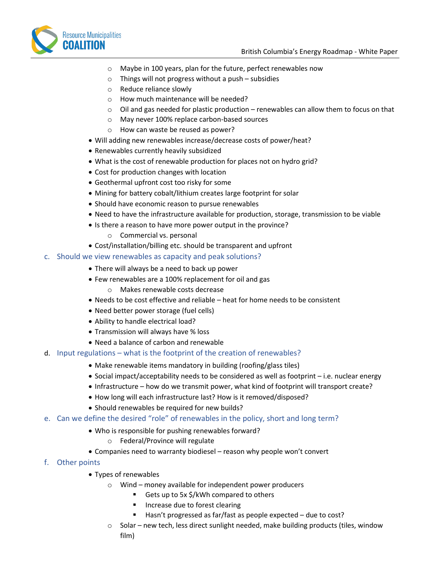

- o Maybe in 100 years, plan for the future, perfect renewables now
- $\circ$  Things will not progress without a push subsidies
- o Reduce reliance slowly
- o How much maintenance will be needed?
- $\circ$  Oil and gas needed for plastic production renewables can allow them to focus on that
- o May never 100% replace carbon-based sources
- o How can waste be reused as power?
- Will adding new renewables increase/decrease costs of power/heat?
- Renewables currently heavily subsidized
- What is the cost of renewable production for places not on hydro grid?
- Cost for production changes with location
- Geothermal upfront cost too risky for some
- Mining for battery cobalt/lithium creates large footprint for solar
- Should have economic reason to pursue renewables
- Need to have the infrastructure available for production, storage, transmission to be viable
- Is there a reason to have more power output in the province?
	- o Commercial vs. personal
- Cost/installation/billing etc. should be transparent and upfront

#### c. Should we view renewables as capacity and peak solutions?

- There will always be a need to back up power
- Few renewables are a 100% replacement for oil and gas
	- o Makes renewable costs decrease
- Needs to be cost effective and reliable heat for home needs to be consistent
- Need better power storage (fuel cells)
- Ability to handle electrical load?
- Transmission will always have % loss
- Need a balance of carbon and renewable
- d. Input regulations what is the footprint of the creation of renewables?
	- Make renewable items mandatory in building (roofing/glass tiles)
	- Social impact/acceptability needs to be considered as well as footprint i.e. nuclear energy
	- Infrastructure how do we transmit power, what kind of footprint will transport create?
	- How long will each infrastructure last? How is it removed/disposed?
	- Should renewables be required for new builds?
- e. Can we define the desired "role" of renewables in the policy, short and long term?
	- Who is responsible for pushing renewables forward?
		- o Federal/Province will regulate
	- Companies need to warranty biodiesel reason why people won't convert
- f. Other points
	- Types of renewables
		- o Wind money available for independent power producers
			- Gets up to 5x \$/kWh compared to others
			- Increase due to forest clearing
			- Hasn't progressed as far/fast as people expected due to cost?
		- $\circ$  Solar new tech, less direct sunlight needed, make building products (tiles, window film)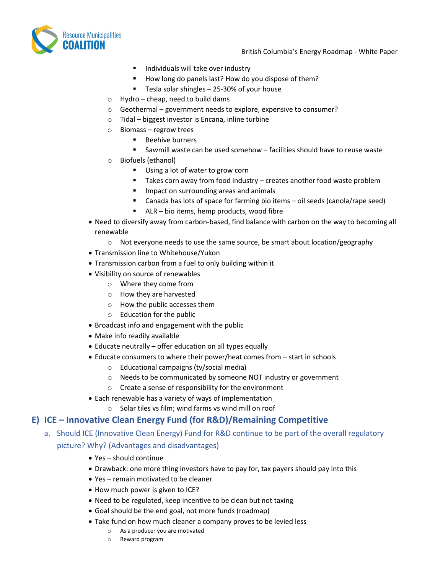

- Individuals will take over industry
- How long do panels last? How do you dispose of them?
- Tesla solar shingles 25-30% of your house
- $\circ$  Hydro cheap, need to build dams
- o Geothermal government needs to explore, expensive to consumer?
- o Tidal biggest investor is Encana, inline turbine
- o Biomass regrow trees
	- Beehive burners
	- Sawmill waste can be used somehow facilities should have to reuse waste
- o Biofuels (ethanol)
	- Using a lot of water to grow corn
	- Takes corn away from food industry creates another food waste problem
	- Impact on surrounding areas and animals
	- Canada has lots of space for farming bio items oil seeds (canola/rape seed)
	- ALR bio items, hemp products, wood fibre
- Need to diversify away from carbon-based, find balance with carbon on the way to becoming all renewable
	- $\circ$  Not everyone needs to use the same source, be smart about location/geography
- Transmission line to Whitehouse/Yukon
- Transmission carbon from a fuel to only building within it
- Visibility on source of renewables
	- o Where they come from
	- o How they are harvested
	- o How the public accesses them
	- o Education for the public
- Broadcast info and engagement with the public
- Make info readily available
- Educate neutrally offer education on all types equally
- Educate consumers to where their power/heat comes from start in schools
	- o Educational campaigns (tv/social media)
	- o Needs to be communicated by someone NOT industry or government
	- o Create a sense of responsibility for the environment
- Each renewable has a variety of ways of implementation
	- o Solar tiles vs film; wind farms vs wind mill on roof

## **E) ICE – Innovative Clean Energy Fund (for R&D)/Remaining Competitive**

- a. Should ICE (Innovative Clean Energy) Fund for R&D continue to be part of the overall regulatory picture? Why? (Advantages and disadvantages)
	- Yes should continue
	- Drawback: one more thing investors have to pay for, tax payers should pay into this
	- Yes remain motivated to be cleaner
	- How much power is given to ICE?
	- Need to be regulated, keep incentive to be clean but not taxing
	- Goal should be the end goal, not more funds (roadmap)
	- Take fund on how much cleaner a company proves to be levied less
		- o As a producer you are motivated
		- o Reward program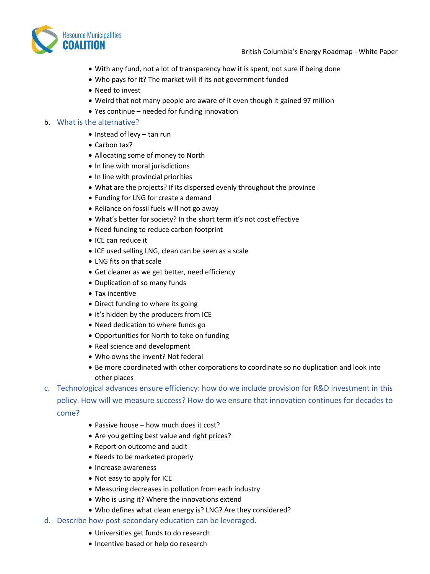

- With any fund, not a lot of transparency how it is spent, not sure if being done
- Who pays for it? The market will if its not government funded
- Need to invest
- Weird that not many people are aware of it even though it gained 97 million
- Yes continue needed for funding innovation

#### b. What is the alternative?

- Instead of levy tan run
- Carbon tax?
- Allocating some of money to North
- In line with moral jurisdictions
- In line with provincial priorities
- What are the projects? If its dispersed evenly throughout the province
- Funding for LNG for create a demand
- Reliance on fossil fuels will not go away
- What's better for society? In the short term it's not cost effective
- Need funding to reduce carbon footprint
- ICE can reduce it
- ICE used selling LNG, clean can be seen as a scale
- LNG fits on that scale
- Get cleaner as we get better, need efficiency
- Duplication of so many funds
- Tax incentive
- Direct funding to where its going
- It's hidden by the producers from ICE
- Need dedication to where funds go
- Opportunities for North to take on funding
- Real science and development
- Who owns the invent? Not federal
- Be more coordinated with other corporations to coordinate so no duplication and look into other places
- c. Technological advances ensure efficiency: how do we include provision for R&D investment in this policy. How will we measure success? How do we ensure that innovation continues for decades to come?
	- Passive house how much does it cost?
	- Are you getting best value and right prices?
	- Report on outcome and audit
	- Needs to be marketed properly
	- Increase awareness
	- Not easy to apply for ICE
	- Measuring decreases in pollution from each industry
	- Who is using it? Where the innovations extend
	- Who defines what clean energy is? LNG? Are they considered?
- d. Describe how post-secondary education can be leveraged.
	- Universities get funds to do research
	- Incentive based or help do research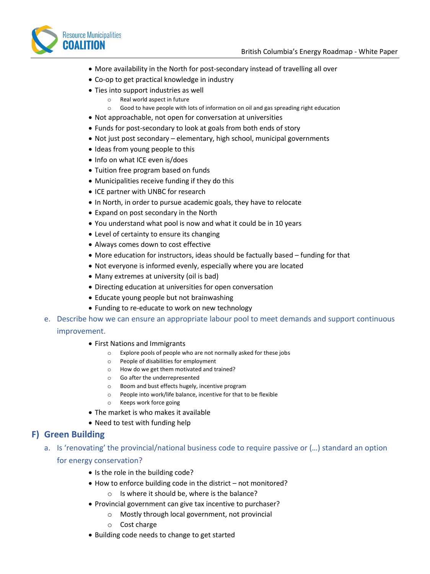

- More availability in the North for post-secondary instead of travelling all over
- Co-op to get practical knowledge in industry
- Ties into support industries as well
	- o Real world aspect in future
	- o Good to have people with lots of information on oil and gas spreading right education
- Not approachable, not open for conversation at universities
- Funds for post-secondary to look at goals from both ends of story
- Not just post secondary elementary, high school, municipal governments
- Ideas from young people to this
- Info on what ICE even is/does
- Tuition free program based on funds
- Municipalities receive funding if they do this
- ICE partner with UNBC for research
- In North, in order to pursue academic goals, they have to relocate
- Expand on post secondary in the North
- You understand what pool is now and what it could be in 10 years
- Level of certainty to ensure its changing
- Always comes down to cost effective
- More education for instructors, ideas should be factually based funding for that
- Not everyone is informed evenly, especially where you are located
- Many extremes at university (oil is bad)
- Directing education at universities for open conversation
- Educate young people but not brainwashing
- Funding to re-educate to work on new technology
- e. Describe how we can ensure an appropriate labour pool to meet demands and support continuous improvement.
	- First Nations and Immigrants
		- o Explore pools of people who are not normally asked for these jobs
		- o People of disabilities for employment
		- o How do we get them motivated and trained?
		- o Go after the underrepresented
		- o Boom and bust effects hugely, incentive program
		- o People into work/life balance, incentive for that to be flexible
		- o Keeps work force going
	- The market is who makes it available
	- Need to test with funding help

#### **F) Green Building**

- a. Is 'renovating' the provincial/national business code to require passive or (…) standard an option for energy conservation?
	- Is the role in the building code?
	- How to enforce building code in the district not monitored?
		- o Is where it should be, where is the balance?
	- Provincial government can give tax incentive to purchaser?
		- o Mostly through local government, not provincial
		- o Cost charge
	- Building code needs to change to get started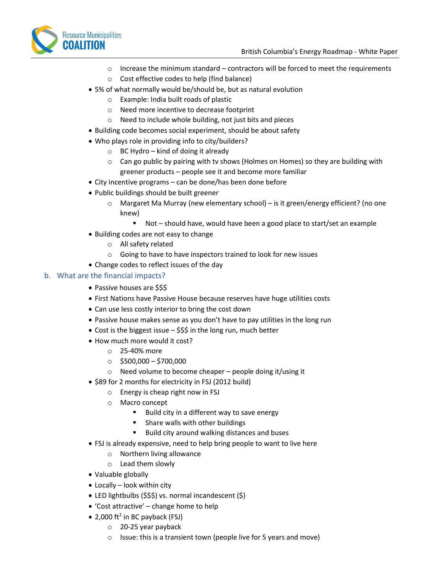



- o Increase the minimum standard contractors will be forced to meet the requirements
- o Cost effective codes to help (find balance)
- 5% of what normally would be/should be, but as natural evolution
	- o Example: India built roads of plastic
	- o Need more incentive to decrease footprint
	- o Need to include whole building, not just bits and pieces
- Building code becomes social experiment, should be about safety
- Who plays role in providing info to city/builders?
	- $\circ$  BC Hydro kind of doing it already
	- $\circ$  Can go public by pairing with tv shows (Holmes on Homes) so they are building with greener products – people see it and become more familiar
- City incentive programs can be done/has been done before
- Public buildings should be built greener
	- $\circ$  Margaret Ma Murray (new elementary school) is it green/energy efficient? (no one knew)
		- Not should have, would have been a good place to start/set an example
- Building codes are not easy to change
	- o All safety related
	- o Going to have to have inspectors trained to look for new issues
- Change codes to reflect issues of the day

#### b. What are the financial impacts?

- Passive houses are \$\$\$
- First Nations have Passive House because reserves have huge utilities costs
- Can use less costly interior to bring the cost down
- Passive house makes sense as you don't have to pay utilities in the long run
- Cost is the biggest issue \$\$\$ in the long run, much better
- How much more would it cost?
	- o 25-40% more
	- $\circ$  \$500,000 \$700,000
	- o Need volume to become cheaper people doing it/using it
- \$89 for 2 months for electricity in FSJ (2012 build)
	- o Energy is cheap right now in FSJ
		- o Macro concept
			- Build city in a different way to save energy
			- Share walls with other buildings
			- Build city around walking distances and buses
- FSJ is already expensive, need to help bring people to want to live here
	- o Northern living allowance
	- o Lead them slowly
- Valuable globally
- Locally look within city
- LED lightbulbs (\$\$\$) vs. normal incandescent (\$)
- 'Cost attractive' change home to help
- $\bullet$  2,000 ft<sup>2</sup> in BC payback (FSJ)
	- o 20-25 year payback
	- $\circ$  Issue: this is a transient town (people live for 5 years and move)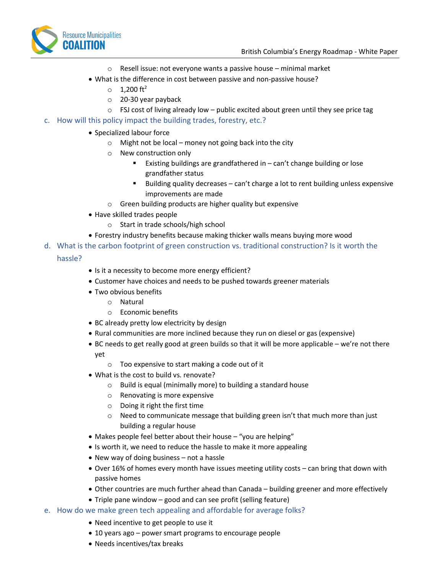

- o Resell issue: not everyone wants a passive house minimal market
- What is the difference in cost between passive and non-passive house?
	- $_0$  1,200 ft<sup>2</sup>
	- o 20-30 year payback
	- $\circ$  FSJ cost of living already low public excited about green until they see price tag
- c. How will this policy impact the building trades, forestry, etc.?
	- Specialized labour force
		- $\circ$  Might not be local money not going back into the city
		- o New construction only
			- Existing buildings are grandfathered in can't change building or lose grandfather status
			- Building quality decreases  $-$  can't charge a lot to rent building unless expensive improvements are made
		- o Green building products are higher quality but expensive
	- Have skilled trades people
		- o Start in trade schools/high school
	- Forestry industry benefits because making thicker walls means buying more wood
- d. What is the carbon footprint of green construction vs. traditional construction? Is it worth the

#### hassle?

- Is it a necessity to become more energy efficient?
- Customer have choices and needs to be pushed towards greener materials
- Two obvious benefits
	- o Natural
	- o Economic benefits
- BC already pretty low electricity by design
- Rural communities are more inclined because they run on diesel or gas (expensive)
- BC needs to get really good at green builds so that it will be more applicable we're not there yet
	- o Too expensive to start making a code out of it
- What is the cost to build vs. renovate?
	- o Build is equal (minimally more) to building a standard house
	- o Renovating is more expensive
	- o Doing it right the first time
	- $\circ$  Need to communicate message that building green isn't that much more than just building a regular house
- Makes people feel better about their house "you are helping"
- Is worth it, we need to reduce the hassle to make it more appealing
- New way of doing business not a hassle
- Over 16% of homes every month have issues meeting utility costs can bring that down with passive homes
- Other countries are much further ahead than Canada building greener and more effectively
- Triple pane window good and can see profit (selling feature)
- e. How do we make green tech appealing and affordable for average folks?
	- Need incentive to get people to use it
	- 10 years ago power smart programs to encourage people
	- Needs incentives/tax breaks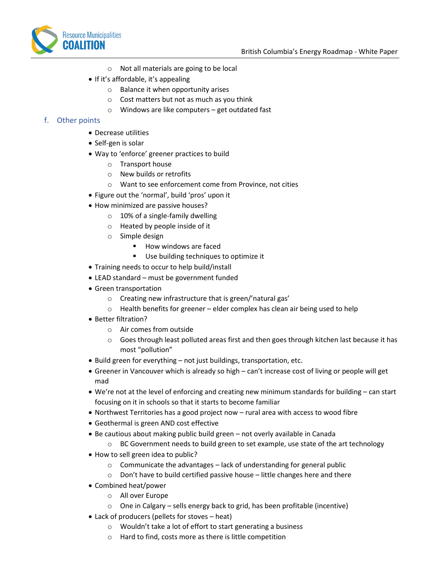

- o Not all materials are going to be local
- If it's affordable, it's appealing
	- o Balance it when opportunity arises
	- o Cost matters but not as much as you think
	- o Windows are like computers get outdated fast

#### f. Other points

- Decrease utilities
- Self-gen is solar
- Way to 'enforce' greener practices to build
	- o Transport house
	- o New builds or retrofits
	- o Want to see enforcement come from Province, not cities
- Figure out the 'normal', build 'pros' upon it
- How minimized are passive houses?
	- $\circ$  10% of a single-family dwelling
	- o Heated by people inside of it
	- o Simple design
		- How windows are faced
		- Use building techniques to optimize it
- Training needs to occur to help build/install
- LEAD standard must be government funded
- Green transportation
	- o Creating new infrastructure that is green/'natural gas'
	- o Health benefits for greener elder complex has clean air being used to help
- Better filtration?
	- o Air comes from outside
	- $\circ$  Goes through least polluted areas first and then goes through kitchen last because it has most "pollution"
- Build green for everything not just buildings, transportation, etc.
- Greener in Vancouver which is already so high can't increase cost of living or people will get mad
- We're not at the level of enforcing and creating new minimum standards for building can start focusing on it in schools so that it starts to become familiar
- Northwest Territories has a good project now rural area with access to wood fibre
- Geothermal is green AND cost effective
- Be cautious about making public build green not overly available in Canada
	- $\circ$  BC Government needs to build green to set example, use state of the art technology
- How to sell green idea to public?
	- o Communicate the advantages lack of understanding for general public
	- o Don't have to build certified passive house little changes here and there
- Combined heat/power
	- o All over Europe
	- o One in Calgary sells energy back to grid, has been profitable (incentive)
- Lack of producers (pellets for stoves heat)
	- o Wouldn't take a lot of effort to start generating a business
	- o Hard to find, costs more as there is little competition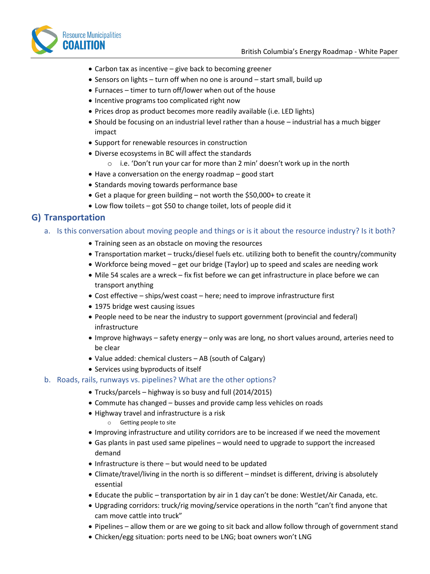

- Carbon tax as incentive give back to becoming greener
- Sensors on lights turn off when no one is around start small, build up
- Furnaces timer to turn off/lower when out of the house
- Incentive programs too complicated right now
- Prices drop as product becomes more readily available (i.e. LED lights)
- Should be focusing on an industrial level rather than a house industrial has a much bigger impact
- Support for renewable resources in construction
- Diverse ecosystems in BC will affect the standards
	- o i.e. 'Don't run your car for more than 2 min' doesn't work up in the north
- Have a conversation on the energy roadmap good start
- Standards moving towards performance base
- Get a plaque for green building not worth the \$50,000+ to create it
- Low flow toilets got \$50 to change toilet, lots of people did it

#### **G) Transportation**

- a. Is this conversation about moving people and things or is it about the resource industry? Is it both?
	- Training seen as an obstacle on moving the resources
	- Transportation market trucks/diesel fuels etc. utilizing both to benefit the country/community
	- Workforce being moved get our bridge (Taylor) up to speed and scales are needing work
	- Mile 54 scales are a wreck fix fist before we can get infrastructure in place before we can transport anything
	- Cost effective ships/west coast here; need to improve infrastructure first
	- 1975 bridge west causing issues
	- People need to be near the industry to support government (provincial and federal) infrastructure
	- Improve highways safety energy only was are long, no short values around, arteries need to be clear
	- Value added: chemical clusters AB (south of Calgary)
	- Services using byproducts of itself

#### b. Roads, rails, runways vs. pipelines? What are the other options?

- Trucks/parcels highway is so busy and full (2014/2015)
- Commute has changed busses and provide camp less vehicles on roads
- Highway travel and infrastructure is a risk
	- o Getting people to site
- Improving infrastructure and utility corridors are to be increased if we need the movement
- Gas plants in past used same pipelines would need to upgrade to support the increased demand
- Infrastructure is there but would need to be updated
- Climate/travel/living in the north is so different mindset is different, driving is absolutely essential
- Educate the public transportation by air in 1 day can't be done: WestJet/Air Canada, etc.
- Upgrading corridors: truck/rig moving/service operations in the north "can't find anyone that cam move cattle into truck"
- Pipelines allow them or are we going to sit back and allow follow through of government stand
- Chicken/egg situation: ports need to be LNG; boat owners won't LNG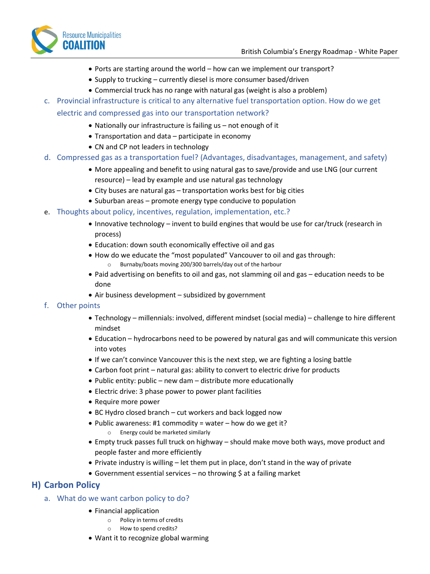



- Ports are starting around the world how can we implement our transport?
- Supply to trucking currently diesel is more consumer based/driven
- Commercial truck has no range with natural gas (weight is also a problem)
- c. Provincial infrastructure is critical to any alternative fuel transportation option. How do we get electric and compressed gas into our transportation network?
	- Nationally our infrastructure is failing us not enough of it
	- Transportation and data participate in economy
	- CN and CP not leaders in technology
- d. Compressed gas as a transportation fuel? (Advantages, disadvantages, management, and safety)
	- More appealing and benefit to using natural gas to save/provide and use LNG (our current resource) – lead by example and use natural gas technology
	- City buses are natural gas transportation works best for big cities
	- Suburban areas promote energy type conducive to population
- e. Thoughts about policy, incentives, regulation, implementation, etc.?
	- Innovative technology invent to build engines that would be use for car/truck (research in process)
	- Education: down south economically effective oil and gas
	- How do we educate the "most populated" Vancouver to oil and gas through: o Burnaby/boats moving 200/300 barrels/day out of the harbour
	- Paid advertising on benefits to oil and gas, not slamming oil and gas education needs to be done
	- Air business development subsidized by government

#### f. Other points

- Technology millennials: involved, different mindset (social media) challenge to hire different mindset
- Education hydrocarbons need to be powered by natural gas and will communicate this version into votes
- If we can't convince Vancouver this is the next step, we are fighting a losing battle
- Carbon foot print natural gas: ability to convert to electric drive for products
- Public entity: public new dam distribute more educationally
- Electric drive: 3 phase power to power plant facilities
- Require more power
- BC Hydro closed branch cut workers and back logged now
- Public awareness: #1 commodity = water how do we get it? o Energy could be marketed similarly
- Empty truck passes full truck on highway should make move both ways, move product and people faster and more efficiently
- Private industry is willing let them put in place, don't stand in the way of private
- Government essential services no throwing \$ at a failing market

#### **H) Carbon Policy**

- a. What do we want carbon policy to do?
	- Financial application
		- o Policy in terms of credits
		- o How to spend credits?
	- Want it to recognize global warming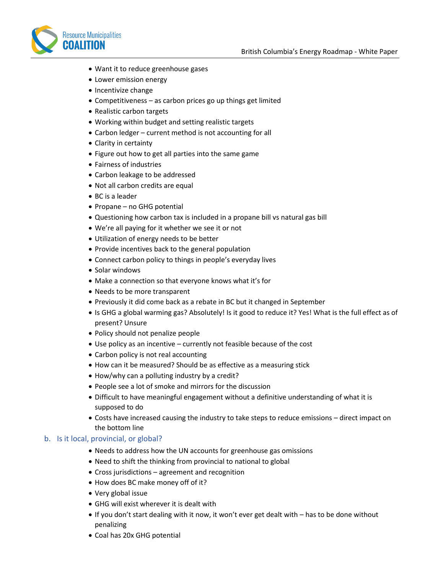

- Want it to reduce greenhouse gases
- Lower emission energy
- Incentivize change
- Competitiveness as carbon prices go up things get limited
- Realistic carbon targets
- Working within budget and setting realistic targets
- Carbon ledger current method is not accounting for all
- Clarity in certainty
- Figure out how to get all parties into the same game
- Fairness of industries
- Carbon leakage to be addressed
- Not all carbon credits are equal
- BC is a leader
- Propane no GHG potential
- Questioning how carbon tax is included in a propane bill vs natural gas bill
- We're all paying for it whether we see it or not
- Utilization of energy needs to be better
- Provide incentives back to the general population
- Connect carbon policy to things in people's everyday lives
- Solar windows
- Make a connection so that everyone knows what it's for
- Needs to be more transparent
- Previously it did come back as a rebate in BC but it changed in September
- Is GHG a global warming gas? Absolutely! Is it good to reduce it? Yes! What is the full effect as of present? Unsure
- Policy should not penalize people
- Use policy as an incentive currently not feasible because of the cost
- Carbon policy is not real accounting
- How can it be measured? Should be as effective as a measuring stick
- How/why can a polluting industry by a credit?
- People see a lot of smoke and mirrors for the discussion
- Difficult to have meaningful engagement without a definitive understanding of what it is supposed to do
- Costs have increased causing the industry to take steps to reduce emissions direct impact on the bottom line

#### b. Is it local, provincial, or global?

- Needs to address how the UN accounts for greenhouse gas omissions
- Need to shift the thinking from provincial to national to global
- Cross jurisdictions agreement and recognition
- How does BC make money off of it?
- Very global issue
- GHG will exist wherever it is dealt with
- If you don't start dealing with it now, it won't ever get dealt with has to be done without penalizing
- Coal has 20x GHG potential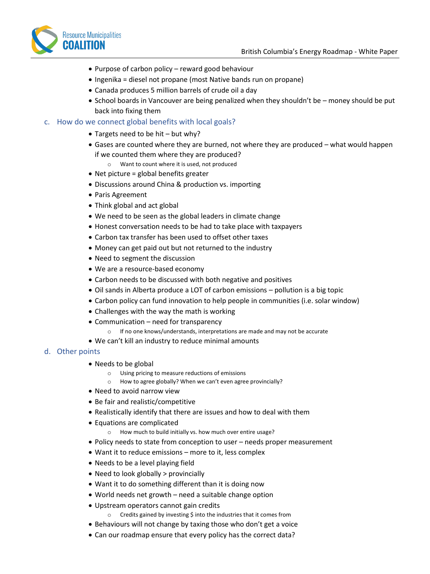

- Purpose of carbon policy reward good behaviour
- Ingenika = diesel not propane (most Native bands run on propane)
- Canada produces 5 million barrels of crude oil a day
- School boards in Vancouver are being penalized when they shouldn't be money should be put back into fixing them

#### c. How do we connect global benefits with local goals?

- Targets need to be hit but why?
- Gases are counted where they are burned, not where they are produced what would happen if we counted them where they are produced?
	- o Want to count where it is used, not produced
- Net picture = global benefits greater
- Discussions around China & production vs. importing
- Paris Agreement
- Think global and act global
- We need to be seen as the global leaders in climate change
- Honest conversation needs to be had to take place with taxpayers
- Carbon tax transfer has been used to offset other taxes
- Money can get paid out but not returned to the industry
- Need to segment the discussion
- We are a resource-based economy
- Carbon needs to be discussed with both negative and positives
- Oil sands in Alberta produce a LOT of carbon emissions pollution is a big topic
- Carbon policy can fund innovation to help people in communities (i.e. solar window)
- Challenges with the way the math is working
- Communication need for transparency
	- $\circ$  If no one knows/understands, interpretations are made and may not be accurate
- We can't kill an industry to reduce minimal amounts

#### d. Other points

- Needs to be global
	- o Using pricing to measure reductions of emissions
	- o How to agree globally? When we can't even agree provincially?
- Need to avoid narrow view
- Be fair and realistic/competitive
- Realistically identify that there are issues and how to deal with them
- Equations are complicated
	- o How much to build initially vs. how much over entire usage?
- Policy needs to state from conception to user needs proper measurement
- Want it to reduce emissions more to it, less complex
- Needs to be a level playing field
- Need to look globally > provincially
- Want it to do something different than it is doing now
- World needs net growth need a suitable change option
- Upstream operators cannot gain credits
	- o Credits gained by investing \$ into the industries that it comes from
- Behaviours will not change by taxing those who don't get a voice
- Can our roadmap ensure that every policy has the correct data?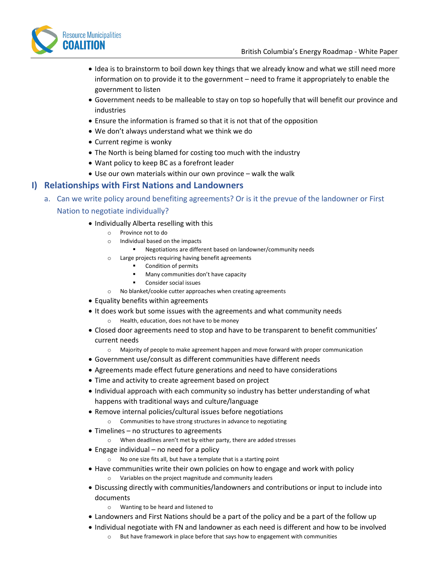

- Idea is to brainstorm to boil down key things that we already know and what we still need more information on to provide it to the government – need to frame it appropriately to enable the government to listen
- Government needs to be malleable to stay on top so hopefully that will benefit our province and industries
- Ensure the information is framed so that it is not that of the opposition
- We don't always understand what we think we do
- Current regime is wonky
- The North is being blamed for costing too much with the industry
- Want policy to keep BC as a forefront leader
- Use our own materials within our own province walk the walk

## **I) Relationships with First Nations and Landowners**

- a. Can we write policy around benefiting agreements? Or is it the prevue of the landowner or First Nation to negotiate individually?
	- Individually Alberta reselling with this
		- o Province not to do
		- o Individual based on the impacts
			- Negotiations are different based on landowner/community needs
		- o Large projects requiring having benefit agreements
			- Condition of permits
			- Many communities don't have capacity
			- Consider social issues
		- o No blanket/cookie cutter approaches when creating agreements
	- Equality benefits within agreements
	- It does work but some issues with the agreements and what community needs Health, education, does not have to be money
	- Closed door agreements need to stop and have to be transparent to benefit communities' current needs
		- o Majority of people to make agreement happen and move forward with proper communication
	- Government use/consult as different communities have different needs
	- Agreements made effect future generations and need to have considerations
	- Time and activity to create agreement based on project
	- Individual approach with each community so industry has better understanding of what happens with traditional ways and culture/language
	- Remove internal policies/cultural issues before negotiations
		- o Communities to have strong structures in advance to negotiating
	- Timelines no structures to agreements
		- o When deadlines aren't met by either party, there are added stresses
	- Engage individual no need for a policy
		- o No one size fits all, but have a template that is a starting point
	- Have communities write their own policies on how to engage and work with policy o Variables on the project magnitude and community leaders
	- Discussing directly with communities/landowners and contributions or input to include into documents
		- o Wanting to be heard and listened to
	- Landowners and First Nations should be a part of the policy and be a part of the follow up
	- Individual negotiate with FN and landowner as each need is different and how to be involved
		- o But have framework in place before that says how to engagement with communities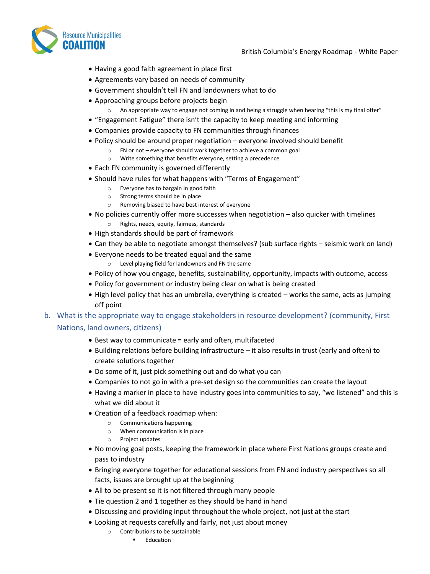

- Having a good faith agreement in place first
- Agreements vary based on needs of community
- Government shouldn't tell FN and landowners what to do
- Approaching groups before projects begin
	- $\circ$  An appropriate way to engage not coming in and being a struggle when hearing "this is my final offer"
- "Engagement Fatigue" there isn't the capacity to keep meeting and informing
- Companies provide capacity to FN communities through finances
- Policy should be around proper negotiation everyone involved should benefit
	- o FN or not everyone should work together to achieve a common goal
	- o Write something that benefits everyone, setting a precedence
- Each FN community is governed differently
- Should have rules for what happens with "Terms of Engagement"
	- o Everyone has to bargain in good faith
		- o Strong terms should be in place
		- o Removing biased to have best interest of everyone
- No policies currently offer more successes when negotiation also quicker with timelines o Rights, needs, equity, fairness, standards
- High standards should be part of framework
- Can they be able to negotiate amongst themselves? (sub surface rights seismic work on land)
- Everyone needs to be treated equal and the same
	- o Level playing field for landowners and FN the same
- Policy of how you engage, benefits, sustainability, opportunity, impacts with outcome, access
- Policy for government or industry being clear on what is being created
- High level policy that has an umbrella, everything is created works the same, acts as jumping off point
- b. What is the appropriate way to engage stakeholders in resource development? (community, First Nations, land owners, citizens)
	- Best way to communicate = early and often, multifaceted
	- Building relations before building infrastructure it also results in trust (early and often) to create solutions together
	- Do some of it, just pick something out and do what you can
	- Companies to not go in with a pre-set design so the communities can create the layout
	- Having a marker in place to have industry goes into communities to say, "we listened" and this is what we did about it
	- Creation of a feedback roadmap when:
		- o Communications happening
		- o When communication is in place
		- o Project updates
	- No moving goal posts, keeping the framework in place where First Nations groups create and pass to industry
	- Bringing everyone together for educational sessions from FN and industry perspectives so all facts, issues are brought up at the beginning
	- All to be present so it is not filtered through many people
	- Tie question 2 and 1 together as they should be hand in hand
	- Discussing and providing input throughout the whole project, not just at the start
	- Looking at requests carefully and fairly, not just about money
		- o Contributions to be sustainable
			- Education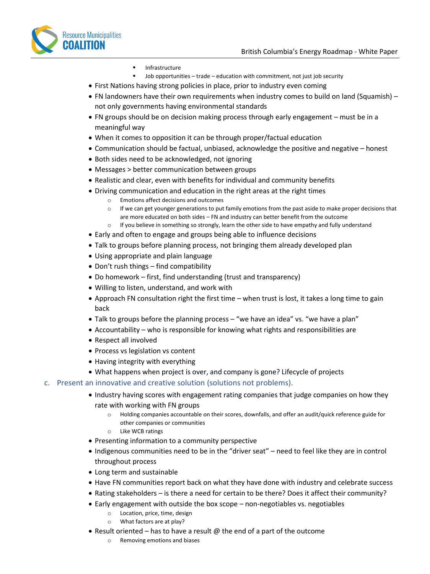

- Infrastructure
- $Job$  opportunities trade education with commitment, not just job security
- First Nations having strong policies in place, prior to industry even coming
- FN landowners have their own requirements when industry comes to build on land (Squamish) not only governments having environmental standards
- FN groups should be on decision making process through early engagement must be in a meaningful way
- When it comes to opposition it can be through proper/factual education
- Communication should be factual, unbiased, acknowledge the positive and negative honest
- Both sides need to be acknowledged, not ignoring
- Messages > better communication between groups
- Realistic and clear, even with benefits for individual and community benefits
- Driving communication and education in the right areas at the right times
	- o Emotions affect decisions and outcomes
	- $\circ$  If we can get younger generations to put family emotions from the past aside to make proper decisions that are more educated on both sides – FN and industry can better benefit from the outcome
	- $\circ$  If you believe in something so strongly, learn the other side to have empathy and fully understand
- Early and often to engage and groups being able to influence decisions
- Talk to groups before planning process, not bringing them already developed plan
- Using appropriate and plain language
- Don't rush things find compatibility
- Do homework first, find understanding (trust and transparency)
- Willing to listen, understand, and work with
- Approach FN consultation right the first time when trust is lost, it takes a long time to gain back
- Talk to groups before the planning process "we have an idea" vs. "we have a plan"
- Accountability who is responsible for knowing what rights and responsibilities are
- Respect all involved
- Process vs legislation vs content
- Having integrity with everything
- What happens when project is over, and company is gone? Lifecycle of projects

#### c. Present an innovative and creative solution (solutions not problems).

- Industry having scores with engagement rating companies that judge companies on how they rate with working with FN groups
	- o Holding companies accountable on their scores, downfalls, and offer an audit/quick reference guide for other companies or communities
	- o Like WCB ratings
- Presenting information to a community perspective
- Indigenous communities need to be in the "driver seat" need to feel like they are in control throughout process
- Long term and sustainable
- Have FN communities report back on what they have done with industry and celebrate success
- Rating stakeholders is there a need for certain to be there? Does it affect their community?
- Early engagement with outside the box scope non-negotiables vs. negotiables
	- o Location, price, time, design
	- o What factors are at play?
- Result oriented has to have a result  $\omega$  the end of a part of the outcome
	- o Removing emotions and biases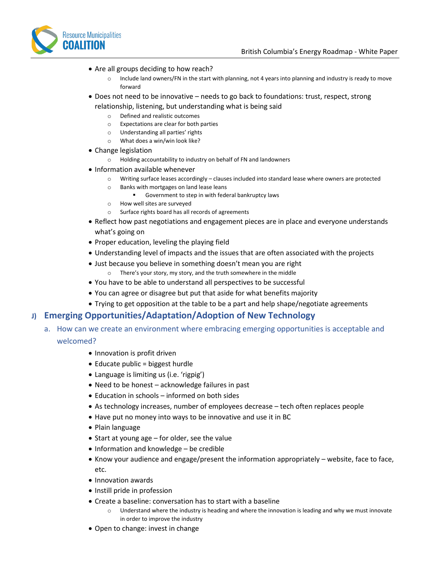

- Are all groups deciding to how reach?
	- o Include land owners/FN in the start with planning, not 4 years into planning and industry is ready to move forward
- Does not need to be innovative needs to go back to foundations: trust, respect, strong relationship, listening, but understanding what is being said
	- o Defined and realistic outcomes
	- o Expectations are clear for both parties
	- o Understanding all parties' rights
	- o What does a win/win look like?
- Change legislation
	- o Holding accountability to industry on behalf of FN and landowners
- Information available whenever
	- o Writing surface leases accordingly clauses included into standard lease where owners are protected
	- o Banks with mortgages on land lease leans
		- Government to step in with federal bankruptcy laws
	- o How well sites are surveyed
	- o Surface rights board has all records of agreements
- Reflect how past negotiations and engagement pieces are in place and everyone understands what's going on
- Proper education, leveling the playing field
- Understanding level of impacts and the issues that are often associated with the projects
- Just because you believe in something doesn't mean you are right
	- o There's your story, my story, and the truth somewhere in the middle
- You have to be able to understand all perspectives to be successful
- You can agree or disagree but put that aside for what benefits majority
- Trying to get opposition at the table to be a part and help shape/negotiate agreements

## **J) Emerging Opportunities/Adaptation/Adoption of New Technology**

- a. How can we create an environment where embracing emerging opportunities is acceptable and welcomed?
	- Innovation is profit driven
	- Educate public = biggest hurdle
	- Language is limiting us (i.e. 'rigpig')
	- Need to be honest acknowledge failures in past
	- Education in schools informed on both sides
	- As technology increases, number of employees decrease tech often replaces people
	- Have put no money into ways to be innovative and use it in BC
	- Plain language
	- Start at young age for older, see the value
	- Information and knowledge be credible
	- Know your audience and engage/present the information appropriately website, face to face, etc.
	- Innovation awards
	- Instill pride in profession
	- Create a baseline: conversation has to start with a baseline
		- Understand where the industry is heading and where the innovation is leading and why we must innovate in order to improve the industry
	- Open to change: invest in change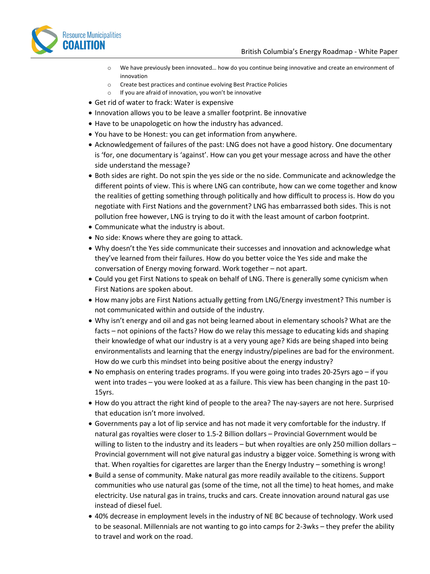

- o We have previously been innovated… how do you continue being innovative and create an environment of innovation
- o Create best practices and continue evolving Best Practice Policies
- o If you are afraid of innovation, you won't be innovative
- Get rid of water to frack: Water is expensive
- Innovation allows you to be leave a smaller footprint. Be innovative
- Have to be unapologetic on how the industry has advanced.
- You have to be Honest: you can get information from anywhere.
- Acknowledgement of failures of the past: LNG does not have a good history. One documentary is 'for, one documentary is 'against'. How can you get your message across and have the other side understand the message?
- Both sides are right. Do not spin the yes side or the no side. Communicate and acknowledge the different points of view. This is where LNG can contribute, how can we come together and know the realities of getting something through politically and how difficult to process is. How do you negotiate with First Nations and the government? LNG has embarrassed both sides. This is not pollution free however, LNG is trying to do it with the least amount of carbon footprint.
- Communicate what the industry is about.
- No side: Knows where they are going to attack.
- Why doesn't the Yes side communicate their successes and innovation and acknowledge what they've learned from their failures. How do you better voice the Yes side and make the conversation of Energy moving forward. Work together – not apart.
- Could you get First Nations to speak on behalf of LNG. There is generally some cynicism when First Nations are spoken about.
- How many jobs are First Nations actually getting from LNG/Energy investment? This number is not communicated within and outside of the industry.
- Why isn't energy and oil and gas not being learned about in elementary schools? What are the facts – not opinions of the facts? How do we relay this message to educating kids and shaping their knowledge of what our industry is at a very young age? Kids are being shaped into being environmentalists and learning that the energy industry/pipelines are bad for the environment. How do we curb this mindset into being positive about the energy industry?
- No emphasis on entering trades programs. If you were going into trades 20-25yrs ago if you went into trades – you were looked at as a failure. This view has been changing in the past 10- 15yrs.
- How do you attract the right kind of people to the area? The nay-sayers are not here. Surprised that education isn't more involved.
- Governments pay a lot of lip service and has not made it very comfortable for the industry. If natural gas royalties were closer to 1.5-2 Billion dollars – Provincial Government would be willing to listen to the industry and its leaders – but when royalties are only 250 million dollars – Provincial government will not give natural gas industry a bigger voice. Something is wrong with that. When royalties for cigarettes are larger than the Energy Industry – something is wrong!
- Build a sense of community. Make natural gas more readily available to the citizens. Support communities who use natural gas (some of the time, not all the time) to heat homes, and make electricity. Use natural gas in trains, trucks and cars. Create innovation around natural gas use instead of diesel fuel.
- 40% decrease in employment levels in the industry of NE BC because of technology. Work used to be seasonal. Millennials are not wanting to go into camps for 2-3wks – they prefer the ability to travel and work on the road.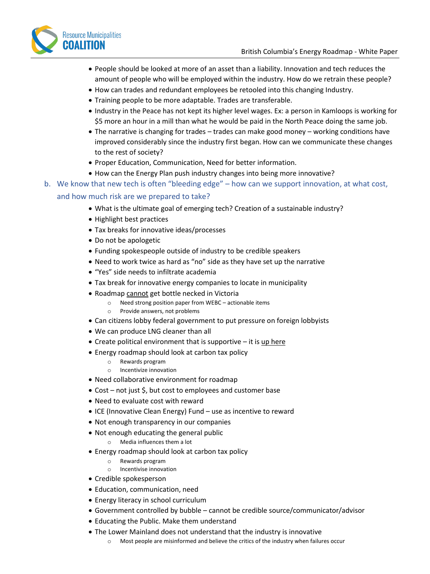

- People should be looked at more of an asset than a liability. Innovation and tech reduces the amount of people who will be employed within the industry. How do we retrain these people?
- How can trades and redundant employees be retooled into this changing Industry.
- Training people to be more adaptable. Trades are transferable.
- Industry in the Peace has not kept its higher level wages. Ex: a person in Kamloops is working for \$5 more an hour in a mill than what he would be paid in the North Peace doing the same job.
- The narrative is changing for trades trades can make good money working conditions have improved considerably since the industry first began. How can we communicate these changes to the rest of society?
- Proper Education, Communication, Need for better information.
- How can the Energy Plan push industry changes into being more innovative?
- b. We know that new tech is often "bleeding edge" how can we support innovation, at what cost, and how much risk are we prepared to take?
	- What is the ultimate goal of emerging tech? Creation of a sustainable industry?
	- Highlight best practices
	- Tax breaks for innovative ideas/processes
	- Do not be apologetic
	- Funding spokespeople outside of industry to be credible speakers
	- Need to work twice as hard as "no" side as they have set up the narrative
	- "Yes" side needs to infiltrate academia
	- Tax break for innovative energy companies to locate in municipality
	- Roadmap cannot get bottle necked in Victoria
		- o Need strong position paper from WEBC actionable items
		- o Provide answers, not problems
	- Can citizens lobby federal government to put pressure on foreign lobbyists
	- We can produce LNG cleaner than all
	- Create political environment that is supportive  $-$  it is up here
	- Energy roadmap should look at carbon tax policy
		- o Rewards program
		- o Incentivize innovation
	- Need collaborative environment for roadmap
	- Cost not just \$, but cost to employees and customer base
	- Need to evaluate cost with reward
	- ICE (Innovative Clean Energy) Fund use as incentive to reward
	- Not enough transparency in our companies
	- Not enough educating the general public
		- o Media influences them a lot
	- Energy roadmap should look at carbon tax policy
		- o Rewards program
		- o Incentivise innovation
	- Credible spokesperson
	- Education, communication, need
	- Energy literacy in school curriculum
	- Government controlled by bubble cannot be credible source/communicator/advisor
	- Educating the Public. Make them understand
	- The Lower Mainland does not understand that the industry is innovative
		- o Most people are misinformed and believe the critics of the industry when failures occur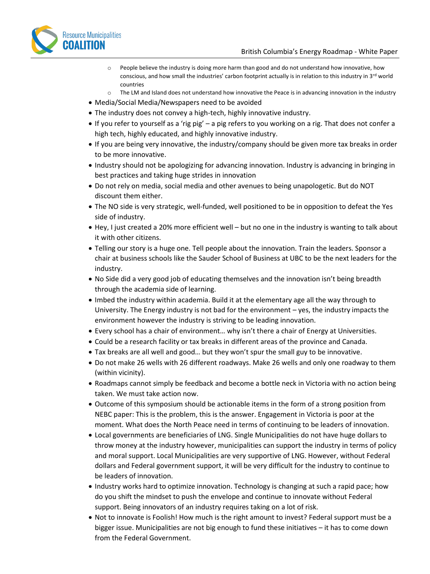

- o People believe the industry is doing more harm than good and do not understand how innovative, how conscious, and how small the industries' carbon footprint actually is in relation to this industry in 3rd world countries
- o The LM and Island does not understand how innovative the Peace is in advancing innovation in the industry
- Media/Social Media/Newspapers need to be avoided
- The industry does not convey a high-tech, highly innovative industry.
- If you refer to yourself as a 'rig pig' a pig refers to you working on a rig. That does not confer a high tech, highly educated, and highly innovative industry.
- If you are being very innovative, the industry/company should be given more tax breaks in order to be more innovative.
- Industry should not be apologizing for advancing innovation. Industry is advancing in bringing in best practices and taking huge strides in innovation
- Do not rely on media, social media and other avenues to being unapologetic. But do NOT discount them either.
- The NO side is very strategic, well-funded, well positioned to be in opposition to defeat the Yes side of industry.
- Hey, I just created a 20% more efficient well but no one in the industry is wanting to talk about it with other citizens.
- Telling our story is a huge one. Tell people about the innovation. Train the leaders. Sponsor a chair at business schools like the Sauder School of Business at UBC to be the next leaders for the industry.
- No Side did a very good job of educating themselves and the innovation isn't being breadth through the academia side of learning.
- Imbed the industry within academia. Build it at the elementary age all the way through to University. The Energy industry is not bad for the environment – yes, the industry impacts the environment however the industry is striving to be leading innovation.
- Every school has a chair of environment… why isn't there a chair of Energy at Universities.
- Could be a research facility or tax breaks in different areas of the province and Canada.
- Tax breaks are all well and good… but they won't spur the small guy to be innovative.
- Do not make 26 wells with 26 different roadways. Make 26 wells and only one roadway to them (within vicinity).
- Roadmaps cannot simply be feedback and become a bottle neck in Victoria with no action being taken. We must take action now.
- Outcome of this symposium should be actionable items in the form of a strong position from NEBC paper: This is the problem, this is the answer. Engagement in Victoria is poor at the moment. What does the North Peace need in terms of continuing to be leaders of innovation.
- Local governments are beneficiaries of LNG. Single Municipalities do not have huge dollars to throw money at the industry however, municipalities can support the industry in terms of policy and moral support. Local Municipalities are very supportive of LNG. However, without Federal dollars and Federal government support, it will be very difficult for the industry to continue to be leaders of innovation.
- Industry works hard to optimize innovation. Technology is changing at such a rapid pace; how do you shift the mindset to push the envelope and continue to innovate without Federal support. Being innovators of an industry requires taking on a lot of risk.
- Not to innovate is Foolish! How much is the right amount to invest? Federal support must be a bigger issue. Municipalities are not big enough to fund these initiatives – it has to come down from the Federal Government.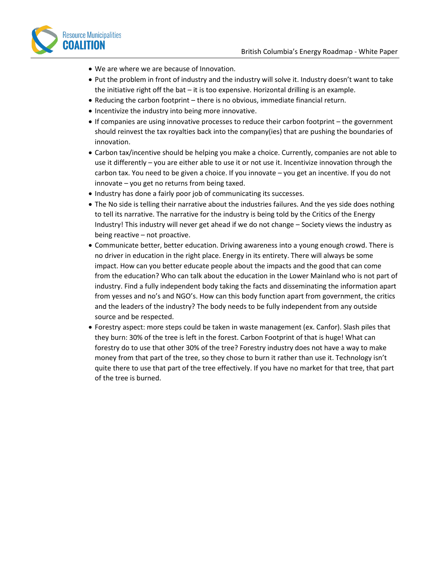

- We are where we are because of Innovation.
- Put the problem in front of industry and the industry will solve it. Industry doesn't want to take the initiative right off the bat – it is too expensive. Horizontal drilling is an example.
- Reducing the carbon footprint there is no obvious, immediate financial return.
- Incentivize the industry into being more innovative.
- If companies are using innovative processes to reduce their carbon footprint the government should reinvest the tax royalties back into the company(ies) that are pushing the boundaries of innovation.
- Carbon tax/incentive should be helping you make a choice. Currently, companies are not able to use it differently – you are either able to use it or not use it. Incentivize innovation through the carbon tax. You need to be given a choice. If you innovate – you get an incentive. If you do not innovate – you get no returns from being taxed.
- Industry has done a fairly poor job of communicating its successes.
- The No side is telling their narrative about the industries failures. And the yes side does nothing to tell its narrative. The narrative for the industry is being told by the Critics of the Energy Industry! This industry will never get ahead if we do not change – Society views the industry as being reactive – not proactive.
- Communicate better, better education. Driving awareness into a young enough crowd. There is no driver in education in the right place. Energy in its entirety. There will always be some impact. How can you better educate people about the impacts and the good that can come from the education? Who can talk about the education in the Lower Mainland who is not part of industry. Find a fully independent body taking the facts and disseminating the information apart from yesses and no's and NGO's. How can this body function apart from government, the critics and the leaders of the industry? The body needs to be fully independent from any outside source and be respected.
- Forestry aspect: more steps could be taken in waste management (ex. Canfor). Slash piles that they burn: 30% of the tree is left in the forest. Carbon Footprint of that is huge! What can forestry do to use that other 30% of the tree? Forestry industry does not have a way to make money from that part of the tree, so they chose to burn it rather than use it. Technology isn't quite there to use that part of the tree effectively. If you have no market for that tree, that part of the tree is burned.